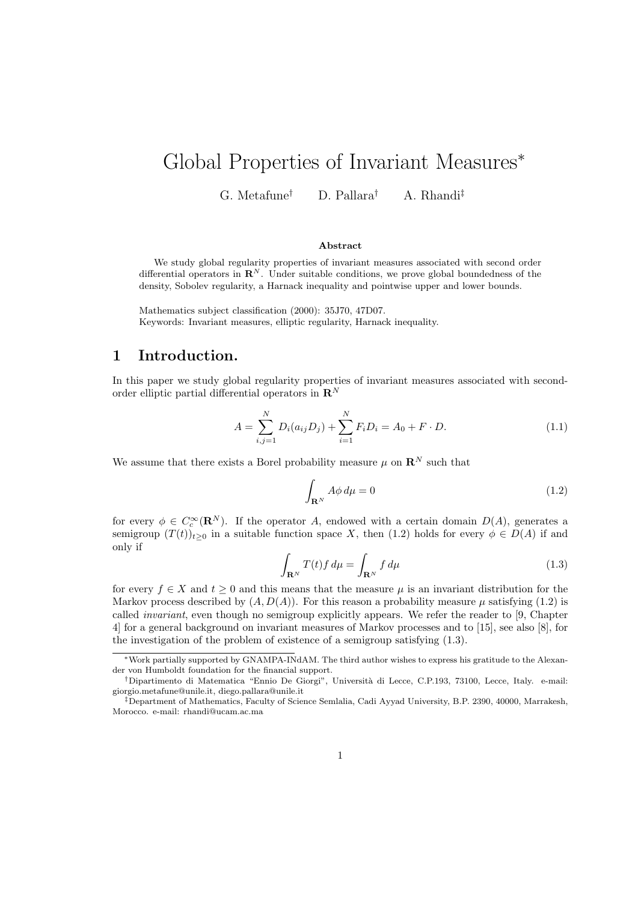# Global Properties of Invariant Measures<sup>∗</sup>

G. Metafune† D. Pallara† A. Rhandi‡

#### Abstract

We study global regularity properties of invariant measures associated with second order differential operators in  $\mathbb{R}^N$ . Under suitable conditions, we prove global boundedness of the density, Sobolev regularity, a Harnack inequality and pointwise upper and lower bounds.

Mathematics subject classification (2000): 35J70, 47D07. Keywords: Invariant measures, elliptic regularity, Harnack inequality.

## 1 Introduction.

In this paper we study global regularity properties of invariant measures associated with secondorder elliptic partial differential operators in  $\mathbf{R}^{N}$ 

$$
A = \sum_{i,j=1}^{N} D_i(a_{ij}D_j) + \sum_{i=1}^{N} F_iD_i = A_0 + F \cdot D.
$$
 (1.1)

We assume that there exists a Borel probability measure  $\mu$  on  $\mathbb{R}^N$  such that

$$
\int_{\mathbf{R}^N} A \phi \, d\mu = 0 \tag{1.2}
$$

for every  $\phi \in C_c^{\infty}(\mathbf{R}^N)$ . If the operator A, endowed with a certain domain  $D(A)$ , generates a semigroup  $(T(t))_{t>0}$  in a suitable function space X, then (1.2) holds for every  $\phi \in D(A)$  if and only if

$$
\int_{\mathbf{R}^N} T(t) f \, d\mu = \int_{\mathbf{R}^N} f \, d\mu \tag{1.3}
$$

for every  $f \in X$  and  $t \geq 0$  and this means that the measure  $\mu$  is an invariant distribution for the Markov process described by  $(A, D(A))$ . For this reason a probability measure  $\mu$  satisfying (1.2) is called invariant, even though no semigroup explicitly appears. We refer the reader to [9, Chapter 4] for a general background on invariant measures of Markov processes and to [15], see also [8], for the investigation of the problem of existence of a semigroup satisfying (1.3).

<sup>∗</sup>Work partially supported by GNAMPA-INdAM. The third author wishes to express his gratitude to the Alexander von Humboldt foundation for the financial support.

<sup>†</sup>Dipartimento di Matematica "Ennio De Giorgi", Universit`a di Lecce, C.P.193, 73100, Lecce, Italy. e-mail: giorgio.metafune@unile.it, diego.pallara@unile.it

<sup>‡</sup>Department of Mathematics, Faculty of Science Semlalia, Cadi Ayyad University, B.P. 2390, 40000, Marrakesh, Morocco. e-mail: rhandi@ucam.ac.ma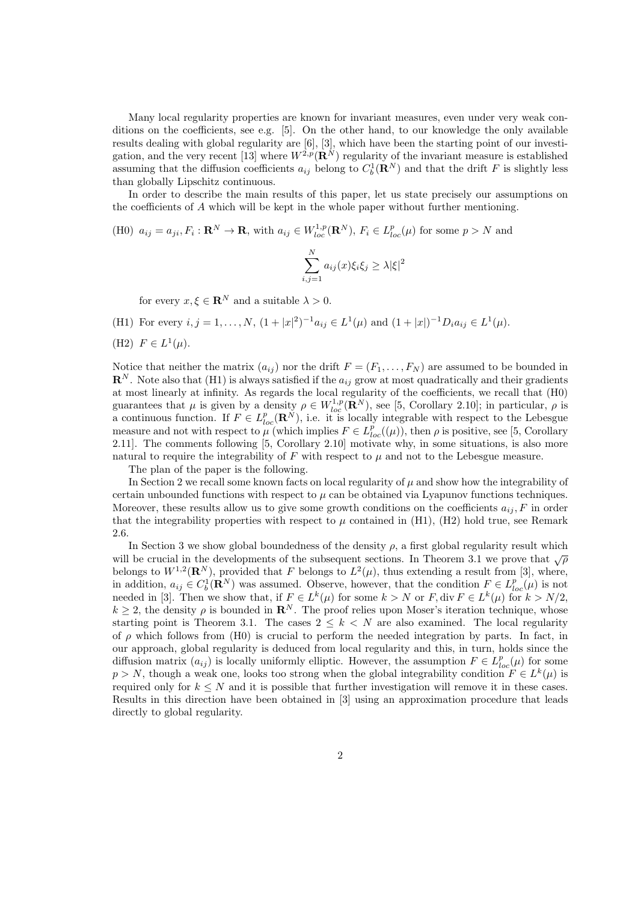Many local regularity properties are known for invariant measures, even under very weak conditions on the coefficients, see e.g. [5]. On the other hand, to our knowledge the only available results dealing with global regularity are [6], [3], which have been the starting point of our investigation, and the very recent  $[13]$  where  $W^{2,p}(\mathbf{R}^N)$  regularity of the invariant measure is established assuming that the diffusion coefficients  $a_{ij}$  belong to  $C_b^1(\mathbf{R}^N)$  and that the drift F is slightly less than globally Lipschitz continuous.

In order to describe the main results of this paper, let us state precisely our assumptions on the coefficients of A which will be kept in the whole paper without further mentioning.

(H0) 
$$
a_{ij} = a_{ji}, F_i : \mathbf{R}^N \to \mathbf{R}
$$
, with  $a_{ij} \in W_{loc}^{1,p}(\mathbf{R}^N)$ ,  $F_i \in L_{loc}^p(\mu)$  for some  $p > N$  and  

$$
\sum_{i,j=1}^N a_{ij}(x)\xi_i\xi_j \ge \lambda |\xi|^2
$$

for every  $x, \xi \in \mathbb{R}^N$  and a suitable  $\lambda > 0$ .

(H1) For every  $i, j = 1, ..., N$ ,  $(1 + |x|^2)^{-1} a_{ij} \in L^1(\mu)$  and  $(1 + |x|)^{-1} D_i a_{ij} \in L^1(\mu)$ .

(H2) 
$$
F \in L^1(\mu)
$$
.

Notice that neither the matrix  $(a_{ij})$  nor the drift  $F = (F_1, \ldots, F_N)$  are assumed to be bounded in  $\mathbf{R}^N$ . Note also that (H1) is always satisfied if the  $a_{ij}$  grow at most quadratically and their gradients at most linearly at infinity. As regards the local regularity of the coefficients, we recall that (H0) guarantees that  $\mu$  is given by a density  $\rho \in W_{loc}^{1,p}(\mathbf{R}^N)$ , see [5, Corollary 2.10]; in particular,  $\rho$  is a continuous function. If  $F \in L^p_{loc}(\mathbf{R}^N)$ , i.e. it is locally integrable with respect to the Lebesgue measure and not with respect to  $\mu$  (which implies  $F \in L_{loc}^{p}((\mu))$ , then  $\rho$  is positive, see [5, Corollary 2.11]. The comments following [5, Corollary 2.10] motivate why, in some situations, is also more natural to require the integrability of  $F$  with respect to  $\mu$  and not to the Lebesgue measure.

The plan of the paper is the following.

In Section 2 we recall some known facts on local regularity of  $\mu$  and show how the integrability of certain unbounded functions with respect to  $\mu$  can be obtained via Lyapunov functions techniques. Moreover, these results allow us to give some growth conditions on the coefficients  $a_{ij}$ , F in order that the integrability properties with respect to  $\mu$  contained in (H1), (H2) hold true, see Remark 2.6.

In Section 3 we show global boundedness of the density  $\rho$ , a first global regularity result which will be crucial in the developments of the subsequent sections. In Theorem 3.1 we prove that  $\sqrt{\rho}$ belongs to  $W^{1,2}(\mathbf{R}^N)$ , provided that F belongs to  $L^2(\mu)$ , thus extending a result from [3], where, in addition,  $a_{ij} \in C_b^1(\mathbf{R}^N)$  was assumed. Observe, however, that the condition  $F \in L_{loc}^p(\mu)$  is not needed in [3]. Then we show that, if  $F \in L^k(\mu)$  for some  $k > N$  or  $F$ , div  $F \in L^k(\mu)$  for  $k > N/2$ ,  $k \geq 2$ , the density  $\rho$  is bounded in  $\mathbb{R}^N$ . The proof relies upon Moser's iteration technique, whose starting point is Theorem 3.1. The cases  $2 \leq k \leq N$  are also examined. The local regularity of  $\rho$  which follows from (H0) is crucial to perform the needed integration by parts. In fact, in our approach, global regularity is deduced from local regularity and this, in turn, holds since the diffusion matrix  $(a_{ij})$  is locally uniformly elliptic. However, the assumption  $F \in L_{loc}^p(\mu)$  for some  $p > N$ , though a weak one, looks too strong when the global integrability condition  $F \in L^k(\mu)$  is required only for  $k \leq N$  and it is possible that further investigation will remove it in these cases. Results in this direction have been obtained in [3] using an approximation procedure that leads directly to global regularity.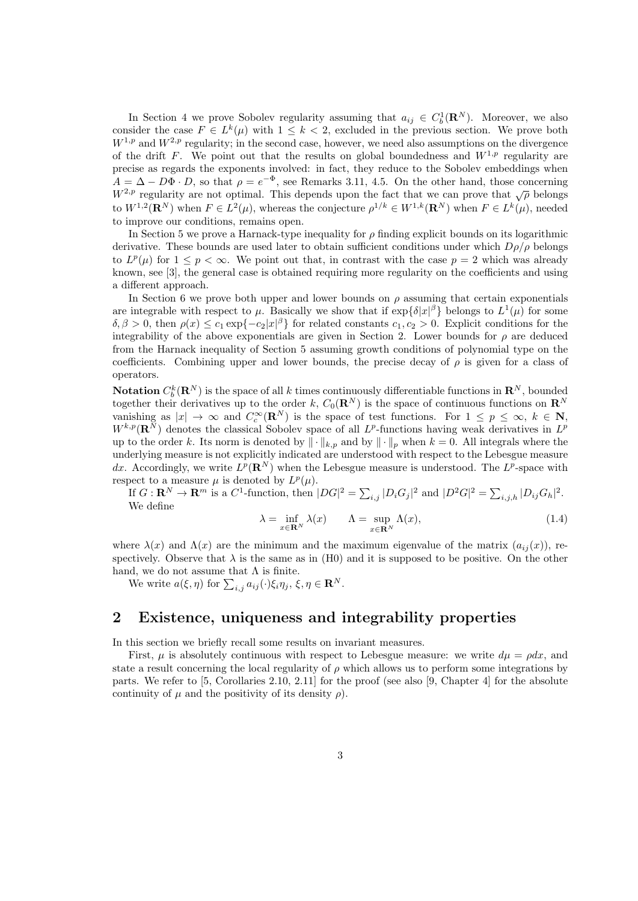In Section 4 we prove Sobolev regularity assuming that  $a_{ij} \in C_b^1(\mathbf{R}^N)$ . Moreover, we also consider the case  $F \in L^k(\mu)$  with  $1 \leq k < 2$ , excluded in the previous section. We prove both  $W^{1,p}$  and  $W^{2,p}$  regularity; in the second case, however, we need also assumptions on the divergence of the drift F. We point out that the results on global boundedness and  $W^{1,p}$  regularity are precise as regards the exponents involved: in fact, they reduce to the Sobolev embeddings when  $A = \Delta - D\Phi \cdot D$ , so that  $\rho = e^{-\Phi}$ , see Remarks 3.11, 4.5. On the other hand, those concerning  $W^{2,p}$  regularity are not optimal. This depends upon the fact that we can prove that  $\sqrt{\rho}$  belongs to  $W^{1,2}(\mathbf{R}^N)$  when  $F \in L^2(\mu)$ , whereas the conjecture  $\rho^{1/k} \in W^{1,k}(\mathbf{R}^N)$  when  $F \in L^k(\mu)$ , needed to improve our conditions, remains open.

In Section 5 we prove a Harnack-type inequality for  $\rho$  finding explicit bounds on its logarithmic derivative. These bounds are used later to obtain sufficient conditions under which  $D\rho/\rho$  belongs to  $L^p(\mu)$  for  $1 \leq p < \infty$ . We point out that, in contrast with the case  $p = 2$  which was already known, see [3], the general case is obtained requiring more regularity on the coefficients and using a different approach.

In Section 6 we prove both upper and lower bounds on  $\rho$  assuming that certain exponentials are integrable with respect to  $\mu$ . Basically we show that if  $\exp{\{\delta|x|^{\beta}\}}$  belongs to  $L^1(\mu)$  for some  $\delta, \beta > 0$ , then  $\rho(x) \leq c_1 \exp\{-c_2|x|^{\beta}\}\$ for related constants  $c_1, c_2 > 0$ . Explicit conditions for the integrability of the above exponentials are given in Section 2. Lower bounds for  $\rho$  are deduced from the Harnack inequality of Section 5 assuming growth conditions of polynomial type on the coefficients. Combining upper and lower bounds, the precise decay of  $\rho$  is given for a class of operators.

**Notation**  $C_b^k(\mathbf{R}^N)$  is the space of all k times continuously differentiable functions in  $\mathbf{R}^N$ , bounded together their derivatives up to the order k,  $C_0(\mathbf{R}^N)$  is the space of continuous functions on  $\mathbf{R}^N$ vanishing as  $|x| \to \infty$  and  $C_c^{\infty}(\mathbf{R}^N)$  is the space of test functions. For  $1 \leq p \leq \infty$ ,  $k \in \mathbf{N}$ ,  $W^{k,p}(\mathbf{R}^N)$  denotes the classical Sobolev space of all  $L^p$ -functions having weak derivatives in  $L^p$ up to the order k. Its norm is denoted by  $\|\cdot\|_{k,p}$  and by  $\|\cdot\|_p$  when  $k = 0$ . All integrals where the underlying measure is not explicitly indicated are understood with respect to the Lebesgue measure dx. Accordingly, we write  $L^p(\mathbf{R}^N)$  when the Lebesgue measure is understood. The  $L^p$ -space with respect to a measure  $\mu$  is denoted by  $L^p(\mu)$ .

If  $G: \mathbf{R}^N \to \mathbf{R}^m$  is a  $C^1$ -function, then  $|DG|^2 = \sum_{i,j} |D_i G_j|^2$  and  $|D^2 G|^2 = \sum_{i,j,h} |D_{ij} G_h|^2$ . We define

$$
\lambda = \inf_{x \in \mathbf{R}^N} \lambda(x) \qquad \Lambda = \sup_{x \in \mathbf{R}^N} \Lambda(x), \tag{1.4}
$$

where  $\lambda(x)$  and  $\Lambda(x)$  are the minimum and the maximum eigenvalue of the matrix  $(a_{ij}(x))$ , respectively. Observe that  $\lambda$  is the same as in (H0) and it is supposed to be positive. On the other hand, we do not assume that  $\Lambda$  is finite.

We write  $a(\xi, \eta)$  for  $\sum_{i,j} a_{ij}(\cdot) \xi_i \eta_j, \xi, \eta \in \mathbf{R}^N$ .

# 2 Existence, uniqueness and integrability properties

In this section we briefly recall some results on invariant measures.

First,  $\mu$  is absolutely continuous with respect to Lebesgue measure: we write  $d\mu = \rho dx$ , and state a result concerning the local regularity of  $\rho$  which allows us to perform some integrations by parts. We refer to [5, Corollaries 2.10, 2.11] for the proof (see also [9, Chapter 4] for the absolute continuity of  $\mu$  and the positivity of its density  $\rho$ ).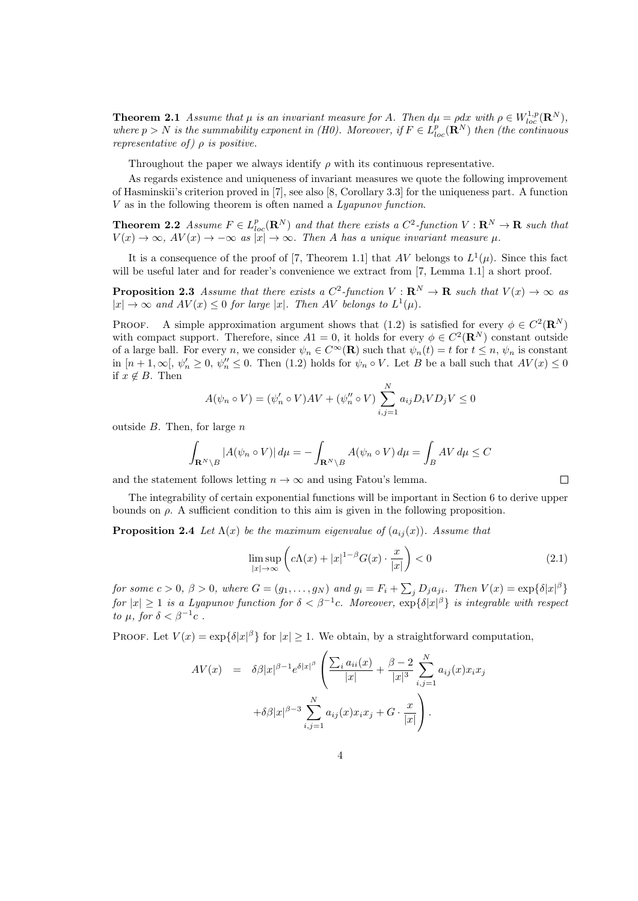**Theorem 2.1** Assume that  $\mu$  is an invariant measure for A. Then  $d\mu = \rho dx$  with  $\rho \in W_{loc}^{1,p}(\mathbb{R}^N)$ , where  $p > N$  is the summability exponent in (H0). Moreover, if  $F \in L_{loc}^p(\mathbf{R}^N)$  then (the continuous representative of  $\rho$  is positive.

Throughout the paper we always identify  $\rho$  with its continuous representative.

As regards existence and uniqueness of invariant measures we quote the following improvement of Hasminskii's criterion proved in [7], see also [8, Corollary 3.3] for the uniqueness part. A function V as in the following theorem is often named a Lyapunov function.

**Theorem 2.2** Assume  $F \in L_{loc}^p(\mathbf{R}^N)$  and that there exists a  $C^2$ -function  $V : \mathbf{R}^N \to \mathbf{R}$  such that  $V(x) \to \infty$ ,  $AV(x) \to -\infty$  as  $|x| \to \infty$ . Then A has a unique invariant measure  $\mu$ .

It is a consequence of the proof of [7, Theorem 1.1] that AV belongs to  $L^1(\mu)$ . Since this fact will be useful later and for reader's convenience we extract from [7, Lemma 1.1] a short proof.

**Proposition 2.3** Assume that there exists a  $C^2$ -function  $V : \mathbf{R}^N \to \mathbf{R}$  such that  $V(x) \to \infty$  as  $|x| \to \infty$  and  $AV(x) \leq 0$  for large |x|. Then AV belongs to  $L^1(\mu)$ .

PROOF. A simple approximation argument shows that (1.2) is satisfied for every  $\phi \in C^2(\mathbf{R}^N)$ with compact support. Therefore, since  $A1 = 0$ , it holds for every  $\phi \in C^2(\mathbf{R}^N)$  constant outside of a large ball. For every n, we consider  $\psi_n \in C^{\infty}(\mathbf{R})$  such that  $\psi_n(t) = t$  for  $t \leq n$ ,  $\psi_n$  is constant in  $[n+1,\infty], \psi_n' \geq 0, \psi_n'' \leq 0$ . Then (1.2) holds for  $\psi_n \circ V$ . Let B be a ball such that  $AV(x) \leq 0$ if  $x \notin B$ . Then

$$
A(\psi_n \circ V) = (\psi'_n \circ V)AV + (\psi''_n \circ V) \sum_{i,j=1}^N a_{ij} D_i V D_j V \le 0
$$

outside  $B$ . Then, for large  $n$ 

$$
\int_{\mathbf{R}^N \setminus B} |A(\psi_n \circ V)| d\mu = -\int_{\mathbf{R}^N \setminus B} A(\psi_n \circ V) d\mu = \int_B AV d\mu \le C
$$

and the statement follows letting  $n \to \infty$  and using Fatou's lemma.

The integrability of certain exponential functions will be important in Section 6 to derive upper bounds on  $\rho$ . A sufficient condition to this aim is given in the following proposition.

**Proposition 2.4** Let  $\Lambda(x)$  be the maximum eigenvalue of  $(a_{ij}(x))$ . Assume that

$$
\limsup_{|x| \to \infty} \left( c\Lambda(x) + |x|^{1-\beta} G(x) \cdot \frac{x}{|x|} \right) < 0 \tag{2.1}
$$

 $\Box$ 

for some  $c > 0$ ,  $\beta > 0$ , where  $G = (g_1, \ldots, g_N)$  and  $g_i = F_i + \sum_j D_j a_{ji}$ . Then  $V(x) = \exp{\{\delta |x|^{\beta}\}}$ for  $|x| \geq 1$  is a Lyapunov function for  $\delta < \beta^{-1}c$ . Moreover,  $\exp{\{\delta|x|^{\beta}\}}$  is integrable with respect to  $\mu$ , for  $\delta < \beta^{-1}c$ .

PROOF. Let  $V(x) = \exp{\{\delta |x|^{\beta}\}}$  for  $|x| \ge 1$ . We obtain, by a straightforward computation,

$$
AV(x) = \delta\beta |x|^{\beta - 1} e^{\delta |x|^{\beta}} \left( \frac{\sum_{i} a_{ii}(x)}{|x|} + \frac{\beta - 2}{|x|^3} \sum_{i,j=1}^N a_{ij}(x) x_i x_j + \delta\beta |x|^{\beta - 3} \sum_{i,j=1}^N a_{ij}(x) x_i x_j + G \cdot \frac{x}{|x|} \right).
$$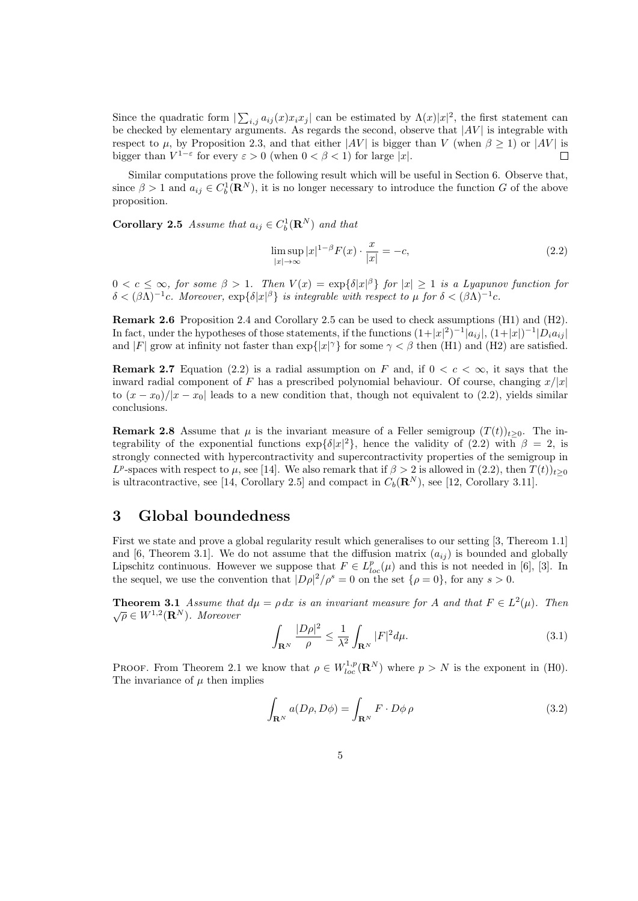Since the quadratic form  $\sum_{i,j} a_{ij}(x)x_i x_j$  can be estimated by  $\Lambda(x)|x|^2$ , the first statement can be checked by elementary arguments. As regards the second, observe that  $|AV|$  is integrable with respect to  $\mu$ , by Proposition 2.3, and that either  $|AV|$  is bigger than V (when  $\beta \ge 1$ ) or  $|AV|$  is bigger than  $V^{1-\epsilon}$  for every  $\varepsilon > 0$  (when  $0 < \beta < 1$ ) for large |x|.  $\Box$ 

Similar computations prove the following result which will be useful in Section 6. Observe that, since  $\beta > 1$  and  $a_{ij} \in C_b^1(\mathbf{R}^N)$ , it is no longer necessary to introduce the function G of the above proposition.

**Corollary 2.5** Assume that  $a_{ij} \in C_b^1(\mathbf{R}^N)$  and that

$$
\limsup_{|x| \to \infty} |x|^{1-\beta} F(x) \cdot \frac{x}{|x|} = -c,\tag{2.2}
$$

 $0 < c \leq \infty$ , for some  $\beta > 1$ . Then  $V(x) = \exp{\{\delta |x|^{\beta}\}}$  for  $|x| \geq 1$  is a Lyapunov function for  $\delta < (\beta \Lambda)^{-1}c$ . Moreover,  $\exp{\{\delta |x|^{\beta}\}}$  is integrable with respect to  $\mu$  for  $\delta < (\beta \Lambda)^{-1}c$ .

Remark 2.6 Proposition 2.4 and Corollary 2.5 can be used to check assumptions (H1) and (H2). In fact, under the hypotheses of those statements, if the functions  $(1+|x|^2)^{-1} |a_{ij}|$ ,  $(1+|x|)^{-1} |D_i a_{ij}|$ and |F| grow at infinity not faster than  $\exp\{|x|^\gamma\}$  for some  $\gamma < \beta$  then (H1) and (H2) are satisfied.

**Remark 2.7** Equation (2.2) is a radial assumption on F and, if  $0 < c < \infty$ , it says that the inward radial component of F has a prescribed polynomial behaviour. Of course, changing  $x/|x|$ to  $(x-x_0)/|x-x_0|$  leads to a new condition that, though not equivalent to (2.2), yields similar conclusions.

**Remark 2.8** Assume that  $\mu$  is the invariant measure of a Feller semigroup  $(T(t))_{t>0}$ . The integrability of the exponential functions  $\exp{\{\delta|x|^2\}}$ , hence the validity of (2.2) with  $\beta = 2$ , is strongly connected with hypercontractivity and supercontractivity properties of the semigroup in L<sup>p</sup>-spaces with respect to  $\mu$ , see [14]. We also remark that if  $\beta > 2$  is allowed in  $(2.2)$ , then  $T(t)$ <sub>t≥0</sub> is ultracontractive, see [14, Corollary 2.5] and compact in  $C_b(\mathbf{R}^N)$ , see [12, Corollary 3.11].

# 3 Global boundedness

First we state and prove a global regularity result which generalises to our setting [3, Thereom 1.1] and [6, Theorem 3.1]. We do not assume that the diffusion matrix  $(a_{ij})$  is bounded and globally Lipschitz continuous. However we suppose that  $F \in L_{loc}^p(\mu)$  and this is not needed in [6], [3]. In the sequel, we use the convention that  $|D\rho|^2/\rho^s = 0$  on the set  $\{\rho = 0\}$ , for any  $s > 0$ .

**Theorem 3.1** Assume that  $d\mu = \rho dx$  is an invariant measure for A and that  $F \in L^2(\mu)$ . Then  $\sqrt{\rho} \in W^{1,2}(\mathbf{R}^N)$ . Moreover

$$
\int_{\mathbf{R}^N} \frac{|D\rho|^2}{\rho} \le \frac{1}{\lambda^2} \int_{\mathbf{R}^N} |F|^2 d\mu. \tag{3.1}
$$

**PROOF.** From Theorem 2.1 we know that  $\rho \in W_{loc}^{1,p}(\mathbf{R}^N)$  where  $p > N$  is the exponent in (H0). The invariance of  $\mu$  then implies

$$
\int_{\mathbf{R}^N} a(D\rho, D\phi) = \int_{\mathbf{R}^N} F \cdot D\phi \, \rho \tag{3.2}
$$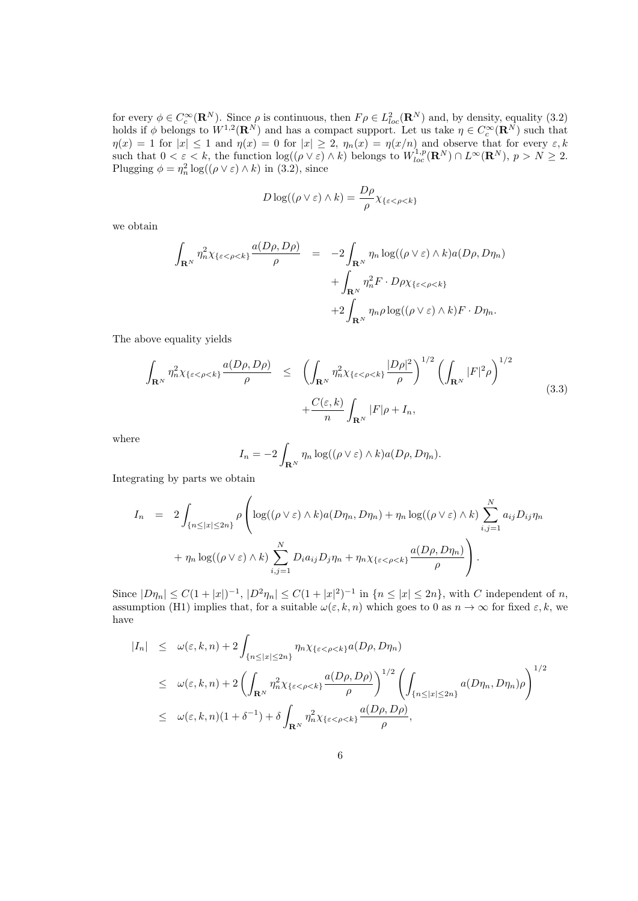for every  $\phi \in C_c^{\infty}(\mathbf{R}^N)$ . Since  $\rho$  is continuous, then  $F\rho \in L^2_{loc}(\mathbf{R}^N)$  and, by density, equality (3.2) holds if  $\phi$  belongs to  $W^{1,2}(\mathbf{R}^N)$  and has a compact support. Let us take  $\eta \in C_c^{\infty}(\mathbf{R}^N)$  such that  $\eta(x) = 1$  for  $|x| \leq 1$  and  $\eta(x) = 0$  for  $|x| \geq 2$ ,  $\eta_n(x) = \eta(x/n)$  and observe that for every  $\varepsilon, k$ such that  $0 < \varepsilon < k$ , the function  $\log((\rho \vee \varepsilon) \wedge k)$  belongs to  $W_{loc}^{1,p}(\mathbf{R}^N) \cap L^{\infty}(\mathbf{R}^N)$ ,  $p > N \geq 2$ . Plugging  $\phi = \eta_n^2 \log((\rho \vee \varepsilon) \wedge k)$  in (3.2), since

$$
D\log((\rho\vee\varepsilon)\wedge k)=\frac{D\rho}{\rho}\chi_{\{\varepsilon<\rho
$$

we obtain

$$
\int_{\mathbf{R}^N} \eta_n^2 \chi_{\{\varepsilon < \rho < k\}} \frac{a(D\rho, D\rho)}{\rho} = -2 \int_{\mathbf{R}^N} \eta_n \log((\rho \vee \varepsilon) \wedge k) a(D\rho, D\eta_n) + \int_{\mathbf{R}^N} \eta_n^2 F \cdot D\rho \chi_{\{\varepsilon < \rho < k\}} + 2 \int_{\mathbf{R}^N} \eta_n \rho \log((\rho \vee \varepsilon) \wedge k) F \cdot D\eta_n.
$$

The above equality yields

$$
\int_{\mathbf{R}^N} \eta_n^2 \chi_{\{\varepsilon < \rho < k\}} \frac{a(D\rho, D\rho)}{\rho} \le \left( \int_{\mathbf{R}^N} \eta_n^2 \chi_{\{\varepsilon < \rho < k\}} \frac{|D\rho|^2}{\rho} \right)^{1/2} \left( \int_{\mathbf{R}^N} |F|^2 \rho \right)^{1/2} \n+ \frac{C(\varepsilon, k)}{n} \int_{\mathbf{R}^N} |F|\rho + I_n,
$$
\n(3.3)

where

$$
I_n = -2 \int_{\mathbf{R}^N} \eta_n \log((\rho \vee \varepsilon) \wedge k) a(D\rho, D\eta_n).
$$

Integrating by parts we obtain

$$
I_n = 2 \int_{\{n \leq |x| \leq 2n\}} \rho \left( \log((\rho \vee \varepsilon) \wedge k) a(D\eta_n, D\eta_n) + \eta_n \log((\rho \vee \varepsilon) \wedge k) \sum_{i,j=1}^N a_{ij} D_{ij} \eta_n + \eta_n \log((\rho \vee \varepsilon) \wedge k) \sum_{i,j=1}^N D_i a_{ij} D_j \eta_n + \eta_n \chi_{\{\varepsilon < \rho < k\}} \frac{a(D\rho, D\eta_n)}{\rho} \right).
$$

Since  $|D\eta_n| \leq C(1+|x|)^{-1}$ ,  $|D^2\eta_n| \leq C(1+|x|^2)^{-1}$  in  $\{n \leq |x| \leq 2n\}$ , with C independent of n, assumption (H1) implies that, for a suitable  $\omega(\varepsilon, k, n)$  which goes to 0 as  $n \to \infty$  for fixed  $\varepsilon, k$ , we have

$$
\begin{array}{lcl} |I_n| & \leq & \omega(\varepsilon, k, n) + 2 \int_{\{n \leq |x| \leq 2n\}} \eta_n \chi_{\{\varepsilon < \rho < k\}} a(D\rho, D\eta_n) \\ \\ & \leq & \omega(\varepsilon, k, n) + 2 \left( \int_{\mathbf{R}^N} \eta_n^2 \chi_{\{\varepsilon < \rho < k\}} \frac{a(D\rho, D\rho)}{\rho} \right)^{1/2} \left( \int_{\{n \leq |x| \leq 2n\}} a(D\eta_n, D\eta_n) \rho \right)^{1/2} \\ \\ & \leq & \omega(\varepsilon, k, n) (1 + \delta^{-1}) + \delta \int_{\mathbf{R}^N} \eta_n^2 \chi_{\{\varepsilon < \rho < k\}} \frac{a(D\rho, D\rho)}{\rho}, \end{array}
$$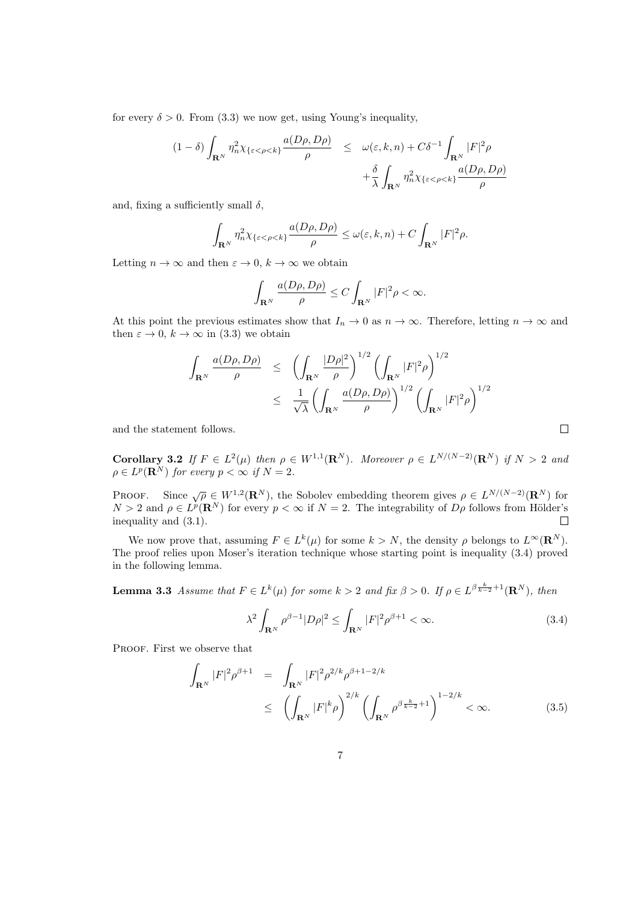for every  $\delta > 0$ . From (3.3) we now get, using Young's inequality,

$$
(1 - \delta) \int_{\mathbf{R}^N} \eta_n^2 \chi_{\{\varepsilon < \rho < k\}} \frac{a(D\rho, D\rho)}{\rho} \leq \omega(\varepsilon, k, n) + C\delta^{-1} \int_{\mathbf{R}^N} |F|^2 \rho
$$

$$
+ \frac{\delta}{\lambda} \int_{\mathbf{R}^N} \eta_n^2 \chi_{\{\varepsilon < \rho < k\}} \frac{a(D\rho, D\rho)}{\rho}
$$

and, fixing a sufficiently small  $\delta$ ,

$$
\int_{\mathbf{R}^N} \eta_n^2 \chi_{\{\varepsilon < \rho < k\}} \frac{a(D\rho, D\rho)}{\rho} \le \omega(\varepsilon, k, n) + C \int_{\mathbf{R}^N} |F|^2 \rho.
$$

Letting  $n \to \infty$  and then  $\varepsilon \to 0$ ,  $k \to \infty$  we obtain

$$
\int_{\mathbf{R}^N}\frac{a(D\rho,D\rho)}{\rho}\leq C\int_{\mathbf{R}^N}|F|^2\rho<\infty.
$$

At this point the previous estimates show that  $I_n \to 0$  as  $n \to \infty$ . Therefore, letting  $n \to \infty$  and then  $\varepsilon \to 0$ ,  $k \to \infty$  in (3.3) we obtain

$$
\int_{\mathbf{R}^N} \frac{a(D\rho, D\rho)}{\rho} \le \left( \int_{\mathbf{R}^N} \frac{|D\rho|^2}{\rho} \right)^{1/2} \left( \int_{\mathbf{R}^N} |F|^2 \rho \right)^{1/2}
$$
\n
$$
\le \frac{1}{\sqrt{\lambda}} \left( \int_{\mathbf{R}^N} \frac{a(D\rho, D\rho)}{\rho} \right)^{1/2} \left( \int_{\mathbf{R}^N} |F|^2 \rho \right)^{1/2}
$$

and the statement follows.

Corollary 3.2 If  $F \in L^2(\mu)$  then  $\rho \in W^{1,1}(\mathbf{R}^N)$ . Moreover  $\rho \in L^{N/(N-2)}(\mathbf{R}^N)$  if  $N > 2$  and  $\rho \in L^p({\bf R}^N)$  for every  $p < \infty$  if  $N = 2$ .

PROOF. Since  $\sqrt{\rho} \in W^{1,2}(\mathbf{R}^N)$ , the Sobolev embedding theorem gives  $\rho \in L^{N/(N-2)}(\mathbf{R}^N)$  for  $N > 2$  and  $\rho \in L^p(\mathbf{R}^N)$  for every  $p < \infty$  if  $N = 2$ . The integrability of  $D\rho$  follows from Hölder's inequality and (3.1).  $\Box$ 

We now prove that, assuming  $F \in L^k(\mu)$  for some  $k > N$ , the density  $\rho$  belongs to  $L^{\infty}(\mathbf{R}^N)$ . The proof relies upon Moser's iteration technique whose starting point is inequality (3.4) proved in the following lemma.

**Lemma 3.3** Assume that  $F \in L^k(\mu)$  for some  $k > 2$  and fix  $\beta > 0$ . If  $\rho \in L^{\beta \frac{k}{k-2}+1}(\mathbb{R}^N)$ , then

$$
\lambda^2 \int_{\mathbf{R}^N} \rho^{\beta - 1} |D\rho|^2 \le \int_{\mathbf{R}^N} |F|^2 \rho^{\beta + 1} < \infty. \tag{3.4}
$$

 $\Box$ 

PROOF. First we observe that

$$
\int_{\mathbf{R}^N} |F|^2 \rho^{\beta+1} = \int_{\mathbf{R}^N} |F|^2 \rho^{2/k} \rho^{\beta+1-2/k} \le \left( \int_{\mathbf{R}^N} |F|^k \rho \right)^{2/k} \left( \int_{\mathbf{R}^N} \rho^{\beta \frac{k}{k-2}+1} \right)^{1-2/k} < \infty.
$$
 (3.5)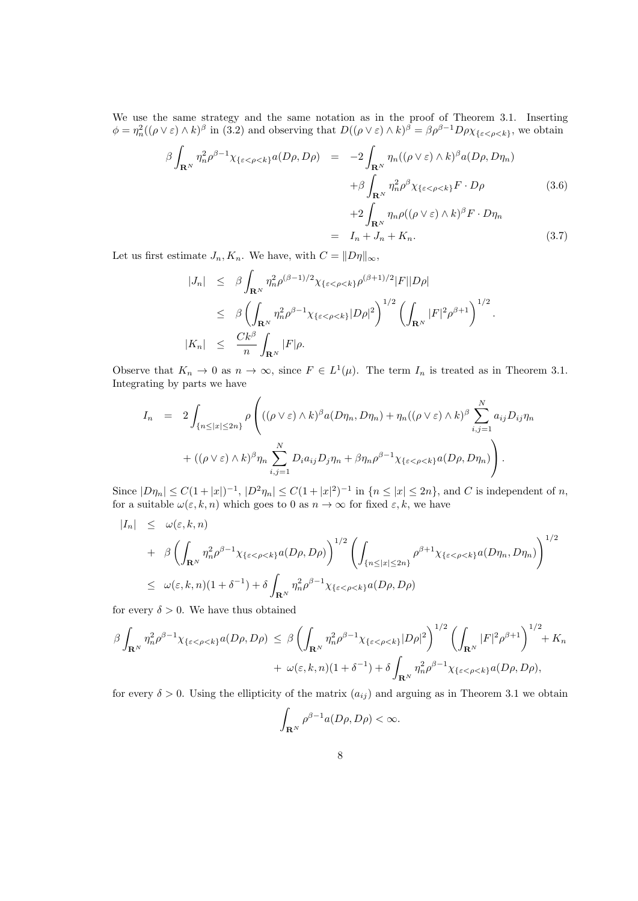We use the same strategy and the same notation as in the proof of Theorem 3.1. Inserting  $\phi = \eta_n^2((\rho \vee \varepsilon) \wedge k)^{\beta}$  in (3.2) and observing that  $D((\rho \vee \varepsilon) \wedge k)^{\beta} = \beta \rho^{\beta - 1} D \rho \chi_{\{\varepsilon < \rho < k\}}$ , we obtain

$$
\beta \int_{\mathbf{R}^N} \eta_n^2 \rho^{\beta - 1} \chi_{\{\varepsilon < \rho < k\}} a(D\rho, D\rho) = -2 \int_{\mathbf{R}^N} \eta_n((\rho \vee \varepsilon) \wedge k)^{\beta} a(D\rho, D\eta_n) \n+ \beta \int_{\mathbf{R}^N} \eta_n^2 \rho^{\beta} \chi_{\{\varepsilon < \rho < k\}} F \cdot D\rho \n+ 2 \int_{\mathbf{R}^N} \eta_n \rho((\rho \vee \varepsilon) \wedge k)^{\beta} F \cdot D\eta_n
$$
\n(3.6)

$$
= I_n + J_n + K_n. \tag{3.7}
$$

Let us first estimate  $J_n, K_n$ . We have, with  $C = ||D\eta||_{\infty}$ ,

$$
|J_n| \leq \beta \int_{\mathbf{R}^N} \eta_n^2 \rho^{(\beta-1)/2} \chi_{\{\varepsilon < \rho < k\}} \rho^{(\beta+1)/2} |F||D\rho|
$$
  
\n
$$
\leq \beta \left( \int_{\mathbf{R}^N} \eta_n^2 \rho^{\beta-1} \chi_{\{\varepsilon < \rho < k\}} |D\rho|^2 \right)^{1/2} \left( \int_{\mathbf{R}^N} |F|^2 \rho^{\beta+1} \right)^{1/2}.
$$
  
\n
$$
|K_n| \leq \frac{Ck^{\beta}}{n} \int_{\mathbf{R}^N} |F|\rho.
$$

Observe that  $K_n \to 0$  as  $n \to \infty$ , since  $F \in L^1(\mu)$ . The term  $I_n$  is treated as in Theorem 3.1. Integrating by parts we have

$$
I_n = 2 \int_{\{n \leq |x| \leq 2n\}} \rho \left( ((\rho \vee \varepsilon) \wedge k)^{\beta} a(D\eta_n, D\eta_n) + \eta_n ((\rho \vee \varepsilon) \wedge k)^{\beta} \sum_{i,j=1}^N a_{ij} D_{ij} \eta_n + ((\rho \vee \varepsilon) \wedge k)^{\beta} \eta_n \sum_{i,j=1}^N D_i a_{ij} D_j \eta_n + \beta \eta_n \rho^{\beta-1} \chi_{\{\varepsilon < \rho < k\}} a(D\rho, D\eta_n) \right).
$$

Since  $|D\eta_n| \leq C(1+|x|)^{-1}$ ,  $|D^2\eta_n| \leq C(1+|x|^2)^{-1}$  in  $\{n \leq |x| \leq 2n\}$ , and C is independent of n, for a suitable  $\omega(\varepsilon, k, n)$  which goes to 0 as  $n \to \infty$  for fixed  $\varepsilon, k$ , we have

$$
\begin{aligned}\n|I_n| &\leq \omega(\varepsilon, k, n) \\
&+ \beta \left( \int_{\mathbf{R}^N} \eta_n^2 \rho^{\beta - 1} \chi_{\{\varepsilon < \rho < k\}} a(D\rho, D\rho) \right)^{1/2} \left( \int_{\{n \leq |x| \leq 2n\}} \rho^{\beta + 1} \chi_{\{\varepsilon < \rho < k\}} a(D\eta_n, D\eta_n) \right)^{1/2} \\
&\leq \omega(\varepsilon, k, n)(1 + \delta^{-1}) + \delta \int_{\mathbf{R}^N} \eta_n^2 \rho^{\beta - 1} \chi_{\{\varepsilon < \rho < k\}} a(D\rho, D\rho)\n\end{aligned}
$$

for every  $\delta > 0$ . We have thus obtained

$$
\beta \int_{\mathbf{R}^N} \eta_n^2 \rho^{\beta - 1} \chi_{\{\varepsilon < \rho < k\}} a(D\rho, D\rho) \leq \beta \left( \int_{\mathbf{R}^N} \eta_n^2 \rho^{\beta - 1} \chi_{\{\varepsilon < \rho < k\}} |D\rho|^2 \right)^{1/2} \left( \int_{\mathbf{R}^N} |F|^2 \rho^{\beta + 1} \right)^{1/2} + K_n
$$
  
+  $\omega(\varepsilon, k, n)(1 + \delta^{-1}) + \delta \int_{\mathbf{R}^N} \eta_n^2 \rho^{\beta - 1} \chi_{\{\varepsilon < \rho < k\}} a(D\rho, D\rho),$ 

for every  $\delta > 0$ . Using the ellipticity of the matrix  $(a_{ij})$  and arguing as in Theorem 3.1 we obtain

$$
\int_{\mathbf{R}^N} \rho^{\beta-1} a(D\rho, D\rho) < \infty.
$$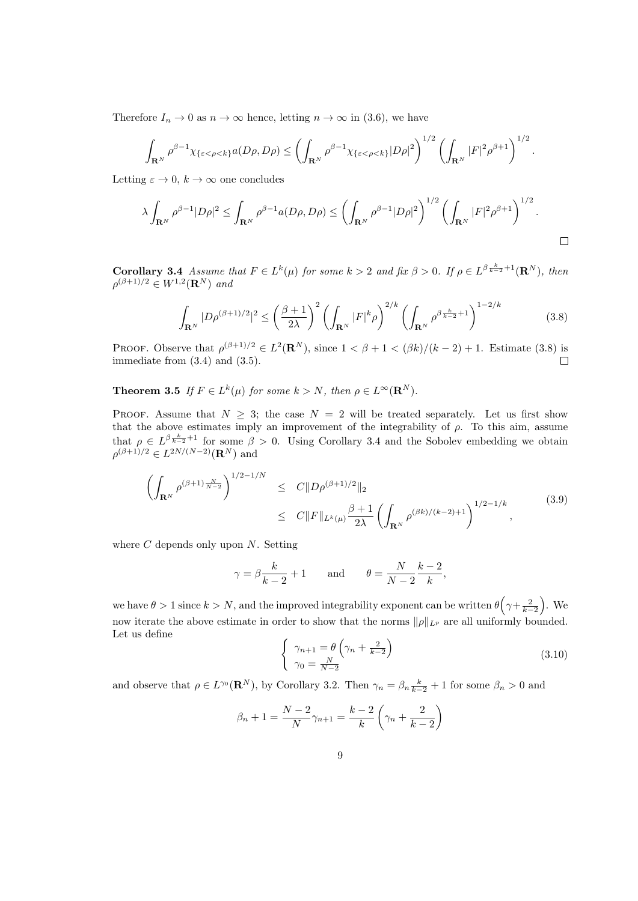Therefore  $I_n \to 0$  as  $n \to \infty$  hence, letting  $n \to \infty$  in (3.6), we have

$$
\int_{\mathbf{R}^N} \rho^{\beta-1} \chi_{\{\varepsilon < \rho < k\}} a(D\rho, D\rho) \le \left( \int_{\mathbf{R}^N} \rho^{\beta-1} \chi_{\{\varepsilon < \rho < k\}} |D\rho|^2 \right)^{1/2} \left( \int_{\mathbf{R}^N} |F|^2 \rho^{\beta+1} \right)^{1/2}
$$

Letting  $\varepsilon \to 0$ ,  $k \to \infty$  one concludes

$$
\lambda \int_{\mathbf{R}^N} \rho^{\beta-1} |D\rho|^2 \leq \int_{\mathbf{R}^N} \rho^{\beta-1} a(D\rho, D\rho) \leq \left( \int_{\mathbf{R}^N} \rho^{\beta-1} |D\rho|^2 \right)^{1/2} \left( \int_{\mathbf{R}^N} |F|^2 \rho^{\beta+1} \right)^{1/2}.
$$

.

**Corollary 3.4** Assume that  $F \in L^k(\mu)$  for some  $k > 2$  and fix  $\beta > 0$ . If  $\rho \in L^{\beta}^{\frac{k}{k-2}+1}(\mathbb{R}^N)$ , then  $\rho^{(\beta+1)/2} \in W^{1,2}(\mathbf{R}^N)$  and

$$
\int_{\mathbf{R}^N} |D\rho^{(\beta+1)/2}|^2 \le \left(\frac{\beta+1}{2\lambda}\right)^2 \left(\int_{\mathbf{R}^N} |F|^k \rho\right)^{2/k} \left(\int_{\mathbf{R}^N} \rho^{\beta \frac{k}{k-2}+1}\right)^{1-2/k} \tag{3.8}
$$

PROOF. Observe that  $\rho^{(\beta+1)/2} \in L^2(\mathbf{R}^N)$ , since  $1 < \beta + 1 < (\beta k)/(k-2) + 1$ . Estimate (3.8) is immediate from (3.4) and (3.5).  $\Box$ 

**Theorem 3.5** If  $F \in L^k(\mu)$  for some  $k > N$ , then  $\rho \in L^{\infty}(\mathbb{R}^N)$ .

PROOF. Assume that  $N \geq 3$ ; the case  $N = 2$  will be treated separately. Let us first show that the above estimates imply an improvement of the integrability of  $\rho$ . To this aim, assume that  $\rho \in L^{\beta \frac{k}{k-2}+1}$  for some  $\beta > 0$ . Using Corollary 3.4 and the Sobolev embedding we obtain  $\rho^{(\beta+1)/2} \in L^{2N/(N-2)}(\mathbf{R}^N)$  and

$$
\left(\int_{\mathbf{R}^N} \rho^{(\beta+1)\frac{N}{N-2}}\right)^{1/2-1/N} \leq C \|D\rho^{(\beta+1)/2}\|_2
$$
\n
$$
\leq C \|F\|_{L^k(\mu)} \frac{\beta+1}{2\lambda} \left(\int_{\mathbf{R}^N} \rho^{(\beta k)/(k-2)+1}\right)^{1/2-1/k}, \tag{3.9}
$$

where  $C$  depends only upon  $N$ . Setting

$$
\gamma = \beta \frac{k}{k-2} + 1
$$
 and  $\theta = \frac{N}{N-2} \frac{k-2}{k}$ ,

we have  $\theta > 1$  since  $k > N$ , and the improved integrability exponent can be written  $\theta\left(\gamma + \frac{2}{k-2}\right)$ . We now iterate the above estimate in order to show that the norms  $\|\rho\|_{L^p}$  are all uniformly bounded. Let us define

$$
\begin{cases} \gamma_{n+1} = \theta \left( \gamma_n + \frac{2}{k-2} \right) \\ \gamma_0 = \frac{N}{N-2} \end{cases} \tag{3.10}
$$

and observe that  $\rho \in L^{\gamma_0}(\mathbf{R}^N)$ , by Corollary 3.2. Then  $\gamma_n = \beta_n \frac{k}{k-2} + 1$  for some  $\beta_n > 0$  and

$$
\beta_n + 1 = \frac{N-2}{N} \gamma_{n+1} = \frac{k-2}{k} \left( \gamma_n + \frac{2}{k-2} \right)
$$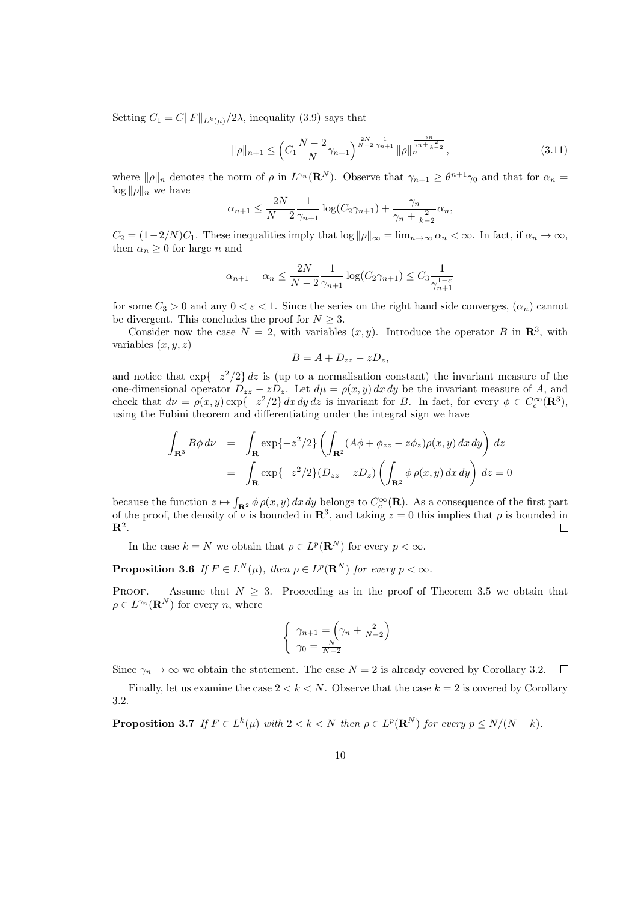Setting  $C_1 = C||F||_{L^k(\mu)}/2\lambda$ , inequality (3.9) says that

$$
\|\rho\|_{n+1} \le \left(C_1 \frac{N-2}{N} \gamma_{n+1}\right)^{\frac{2N}{N-2} \frac{1}{\gamma_{n+1}}} \|\rho\|_n^{\frac{\gamma_n}{\gamma_n + \frac{2}{k-2}}},\tag{3.11}
$$

where  $\|\rho\|_n$  denotes the norm of  $\rho$  in  $L^{\gamma_n}(\mathbf{R}^N)$ . Observe that  $\gamma_{n+1} \geq \theta^{n+1}\gamma_0$  and that for  $\alpha_n =$  $\log ||\rho||_n$  we have

$$
\alpha_{n+1} \le \frac{2N}{N-2} \frac{1}{\gamma_{n+1}} \log(C_2 \gamma_{n+1}) + \frac{\gamma_n}{\gamma_n + \frac{2}{k-2}} \alpha_n,
$$

 $C_2 = (1-2/N)C_1$ . These inequalities imply that  $\log ||\rho||_{\infty} = \lim_{n \to \infty} \alpha_n < \infty$ . In fact, if  $\alpha_n \to \infty$ , then  $\alpha_n \geq 0$  for large *n* and

$$
\alpha_{n+1} - \alpha_n \le \frac{2N}{N-2} \frac{1}{\gamma_{n+1}} \log(C_2 \gamma_{n+1}) \le C_3 \frac{1}{\gamma_{n+1}^{1-\varepsilon}}
$$

for some  $C_3 > 0$  and any  $0 < \varepsilon < 1$ . Since the series on the right hand side converges,  $(\alpha_n)$  cannot be divergent. This concludes the proof for  $N \geq 3$ .

Consider now the case  $N = 2$ , with variables  $(x, y)$ . Introduce the operator B in  $\mathbb{R}^3$ , with variables  $(x, y, z)$ 

$$
B=A+D_{zz}-zD_z,
$$

and notice that  $\exp\{-z^2/2\} dz$  is (up to a normalisation constant) the invariant measure of the one-dimensional operator  $D_{zz} - zD_z$ . Let  $d\mu = \rho(x, y) dx dy$  be the invariant measure of A, and check that  $d\nu = \rho(x, y) \exp\{-z^2/2\} dx dy dz$  is invariant for B. In fact, for every  $\phi \in C_c^{\infty}(\mathbb{R}^3)$ , using the Fubini theorem and differentiating under the integral sign we have

$$
\int_{\mathbf{R}^3} B\phi \, d\nu = \int_{\mathbf{R}} \exp\{-z^2/2\} \left( \int_{\mathbf{R}^2} (A\phi + \phi_{zz} - z\phi_z) \rho(x, y) \, dx \, dy \right) \, dz
$$
\n
$$
= \int_{\mathbf{R}} \exp\{-z^2/2\} (D_{zz} - zD_z) \left( \int_{\mathbf{R}^2} \phi \, \rho(x, y) \, dx \, dy \right) \, dz = 0
$$

because the function  $z \mapsto \int_{\mathbf{R}^2} \phi \rho(x, y) dx dy$  belongs to  $C_c^{\infty}(\mathbf{R})$ . As a consequence of the first part of the proof, the density of  $\tilde{\nu}$  is bounded in  $\mathbb{R}^3$ , and taking  $z = 0$  this implies that  $\rho$  is bounded in  $\mathbf{R}^2.$  $\Box$ 

In the case  $k = N$  we obtain that  $\rho \in L^p(\mathbf{R}^N)$  for every  $p < \infty$ .

**Proposition 3.6** If  $F \in L^N(\mu)$ , then  $\rho \in L^p(\mathbf{R}^N)$  for every  $p < \infty$ .

PROOF. Assume that  $N \geq 3$ . Proceeding as in the proof of Theorem 3.5 we obtain that  $\rho \in L^{\gamma_n}(\mathbf{R}^N)$  for every n, where

$$
\begin{cases} \gamma_{n+1} = \left(\gamma_n + \frac{2}{N-2}\right) \\ \gamma_0 = \frac{N}{N-2} \end{cases}
$$

Since  $\gamma_n \to \infty$  we obtain the statement. The case  $N = 2$  is already covered by Corollary 3.2.  $\Box$ 

Finally, let us examine the case  $2 < k < N$ . Observe that the case  $k = 2$  is covered by Corollary 3.2.

**Proposition 3.7** If  $F \in L^k(\mu)$  with  $2 < k < N$  then  $\rho \in L^p(\mathbf{R}^N)$  for every  $p \le N/(N - k)$ .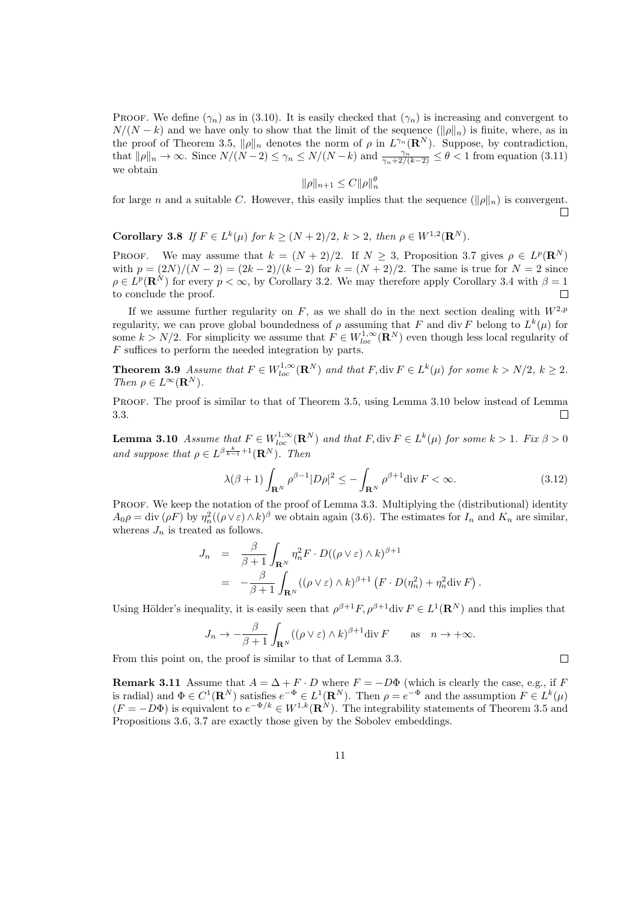PROOF. We define  $(\gamma_n)$  as in (3.10). It is easily checked that  $(\gamma_n)$  is increasing and convergent to  $N/(N-k)$  and we have only to show that the limit of the sequence  $(\|\rho\|_n)$  is finite, where, as in the proof of Theorem 3.5,  $\|\rho\|_n$  denotes the norm of  $\rho$  in  $L^{\gamma_n}(\mathbf{R}^N)$ . Suppose, by contradiction, that  $\|\rho\|_n \to \infty$ . Since  $N/(N-2) \leq \gamma_n \leq N/(N-k)$  and  $\frac{\gamma_n}{\gamma_n+2/(k-2)} \leq \theta < 1$  from equation (3.11) we obtain

$$
\|\rho\|_{n+1} \le C \|\rho\|_n^{\theta}
$$

for large n and a suitable C. However, this easily implies that the sequence  $(\|\rho\|_n)$  is convergent.  $\Box$ 

Corollary 3.8 If  $F \in L^k(\mu)$  for  $k \ge (N+2)/2$ ,  $k > 2$ , then  $\rho \in W^{1,2}(\mathbf{R}^N)$ .

PROOF. We may assume that  $k = (N + 2)/2$ . If  $N \geq 3$ , Proposition 3.7 gives  $\rho \in L^p(\mathbf{R}^N)$ with  $p = (2N)/(N-2) = (2k-2)/(k-2)$  for  $k = (N+2)/2$ . The same is true for  $N = 2$  since  $\rho \in L^p(\mathbf{R}^N)$  for every  $p < \infty$ , by Corollary 3.2. We may therefore apply Corollary 3.4 with  $\beta = 1$ to conclude the proof.  $\Box$ 

If we assume further regularity on F, as we shall do in the next section dealing with  $W^{2,p}$ regularity, we can prove global boundedness of  $\rho$  assuming that F and div F belong to  $L^k(\mu)$  for some  $k > N/2$ . For simplicity we assume that  $F \in W_{loc}^{1,\infty}(\mathbf{R}^N)$  even though less local regularity of F suffices to perform the needed integration by parts.

**Theorem 3.9** Assume that  $F \in W_{loc}^{1,\infty}(\mathbf{R}^N)$  and that  $F$ , div  $F \in L^k(\mu)$  for some  $k > N/2$ ,  $k \geq 2$ . Then  $\rho \in L^{\infty}(\mathbf{R}^N)$ .

PROOF. The proof is similar to that of Theorem 3.5, using Lemma 3.10 below instead of Lemma 3.3.  $\Box$ 

**Lemma 3.10** Assume that  $F \in W^{1,\infty}_{loc}(\mathbf{R}^N)$  and that  $F, \text{div } F \in L^k(\mu)$  for some  $k > 1$ . Fix  $\beta > 0$ and suppose that  $\rho \in L^{\beta}^{\frac{k}{k-1}+1}(\mathbf{R}^{N}).$  Then

$$
\lambda(\beta+1)\int_{\mathbf{R}^N}\rho^{\beta-1}|D\rho|^2\leq -\int_{\mathbf{R}^N}\rho^{\beta+1}\mathrm{div}\,F<\infty.\tag{3.12}
$$

 $\Box$ 

PROOF. We keep the notation of the proof of Lemma 3.3. Multiplying the (distributional) identity  $A_0 \rho = \text{div}(\rho F)$  by  $\eta_n^2((\rho \vee \varepsilon) \wedge k)^{\beta}$  we obtain again (3.6). The estimates for  $I_n$  and  $K_n$  are similar, whereas  $J_n$  is treated as follows.

$$
J_n = \frac{\beta}{\beta+1} \int_{\mathbf{R}^N} \eta_n^2 F \cdot D((\rho \vee \varepsilon) \wedge k)^{\beta+1}
$$
  
= 
$$
-\frac{\beta}{\beta+1} \int_{\mathbf{R}^N} ((\rho \vee \varepsilon) \wedge k)^{\beta+1} (F \cdot D(\eta_n^2) + \eta_n^2 \text{div } F).
$$

Using Hölder's inequality, it is easily seen that  $\rho^{\beta+1}F, \rho^{\beta+1}$ div  $F \in L^1(\mathbf{R}^N)$  and this implies that

$$
J_n \to -\frac{\beta}{\beta+1} \int_{\mathbf{R}^N} ((\rho \vee \varepsilon) \wedge k)^{\beta+1} \mathrm{div} \, F \qquad \text{as} \quad n \to +\infty.
$$

From this point on, the proof is similar to that of Lemma 3.3.

**Remark 3.11** Assume that  $A = \Delta + F \cdot D$  where  $F = -D\Phi$  (which is clearly the case, e.g., if F is radial) and  $\Phi \in C^1(\mathbf{R}^N)$  satisfies  $e^{-\Phi} \in L^1(\mathbf{R}^N)$ . Then  $\rho = e^{-\Phi}$  and the assumption  $F \in L^k(\mu)$  $(F = -D\Phi)$  is equivalent to  $e^{-\Phi/k} \in W^{1,k}(\mathbf{R}^N)$ . The integrability statements of Theorem 3.5 and Propositions 3.6, 3.7 are exactly those given by the Sobolev embeddings.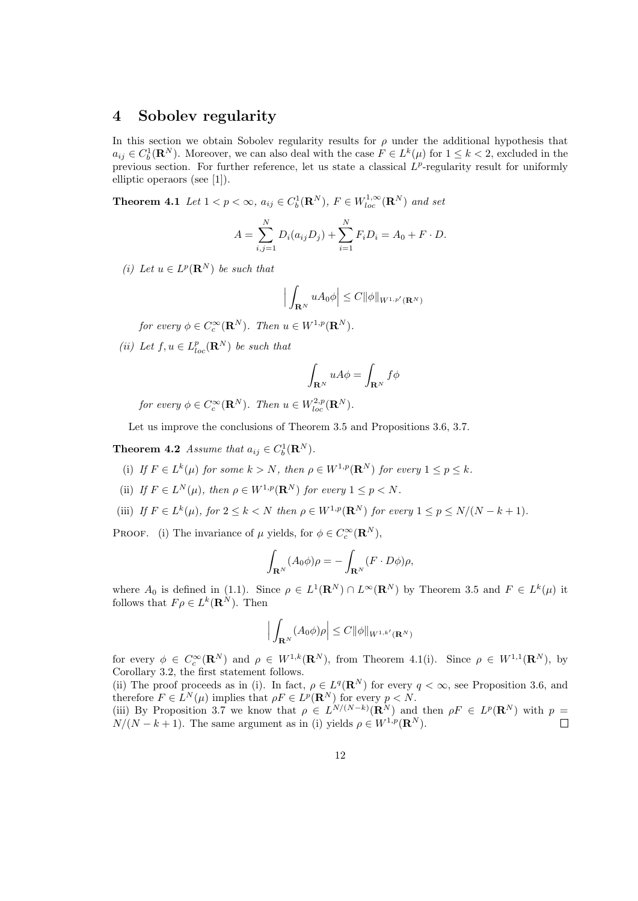#### 4 Sobolev regularity

In this section we obtain Sobolev regularity results for  $\rho$  under the additional hypothesis that  $a_{ij} \in C_b^1(\mathbf{R}^N)$ . Moreover, we can also deal with the case  $F \in L^k(\mu)$  for  $1 \leq k < 2$ , excluded in the previous section. For further reference, let us state a classical  $L^p$ -regularity result for uniformly elliptic operaors (see [1]).

**Theorem 4.1** Let  $1 < p < \infty$ ,  $a_{ij} \in C_b^1(\mathbf{R}^N)$ ,  $F \in W_{loc}^{1,\infty}(\mathbf{R}^N)$  and set

$$
A = \sum_{i,j=1}^{N} D_i(a_{ij}D_j) + \sum_{i=1}^{N} F_i D_i = A_0 + F \cdot D.
$$

(i) Let  $u \in L^p(\mathbf{R}^N)$  be such that

$$
\Big|\int_{\mathbf{R}^N} u A_0 \phi\Big| \leq C \|\phi\|_{W^{1,p'}(\mathbf{R}^N)}
$$

for every  $\phi \in C_c^{\infty}(\mathbf{R}^N)$ . Then  $u \in W^{1,p}(\mathbf{R}^N)$ .

(ii) Let  $f, u \in L_{loc}^p(\mathbf{R}^N)$  be such that

$$
\int_{{\bf R}^N}u A\phi=\int_{{\bf R}^N}f\phi
$$

for every  $\phi \in C_c^{\infty}(\mathbf{R}^N)$ . Then  $u \in W_{loc}^{2,p}(\mathbf{R}^N)$ .

Let us improve the conclusions of Theorem 3.5 and Propositions 3.6, 3.7.

**Theorem 4.2** Assume that  $a_{ij} \in C_b^1(\mathbf{R}^N)$ .

- (i) If  $F \in L^k(\mu)$  for some  $k > N$ , then  $\rho \in W^{1,p}(\mathbf{R}^N)$  for every  $1 \leq p \leq k$ .
- (ii) If  $F \in L^N(\mu)$ , then  $\rho \in W^{1,p}(\mathbf{R}^N)$  for every  $1 \leq p < N$ .
- (iii) If  $F \in L^k(\mu)$ , for  $2 \leq k < N$  then  $\rho \in W^{1,p}(\mathbf{R}^N)$  for every  $1 \leq p \leq N/(N-k+1)$ .

PROOF. (i) The invariance of  $\mu$  yields, for  $\phi \in C_c^{\infty}(\mathbf{R}^N)$ ,

$$
\int_{\mathbf{R}^N} (A_0 \phi) \rho = - \int_{\mathbf{R}^N} (F \cdot D\phi) \rho,
$$

where  $A_0$  is defined in (1.1). Since  $\rho \in L^1(\mathbf{R}^N) \cap L^\infty(\mathbf{R}^N)$  by Theorem 3.5 and  $F \in L^k(\mu)$  it follows that  $F \rho \in L^k(\mathbf{R}^N)$ . Then

$$
\left| \int_{\mathbf{R}^N} (A_0 \phi) \rho \right| \leq C ||\phi||_{W^{1,k'}(\mathbf{R}^N)}
$$

for every  $\phi \in C_c^{\infty}(\mathbf{R}^N)$  and  $\rho \in W^{1,k}(\mathbf{R}^N)$ , from Theorem 4.1(i). Since  $\rho \in W^{1,1}(\mathbf{R}^N)$ , by Corollary 3.2, the first statement follows.

(ii) The proof proceeds as in (i). In fact,  $\rho \in L^q(\mathbf{R}^N)$  for every  $q < \infty$ , see Proposition 3.6, and therefore  $F \in L^N(\mu)$  implies that  $\rho F \in L^p(\mathbf{R}^N)$  for every  $p < N$ . (iii) By Proposition 3.7 we know that  $\rho \in L^{N/(N-k)}(\mathbf{R}^N)$  and then  $\rho F \in L^p(\mathbf{R}^N)$  with  $p =$  $N/(N-k+1)$ . The same argument as in (i) yields  $\rho \in W^{1,p}(\mathbf{R}^N)$ .  $\Box$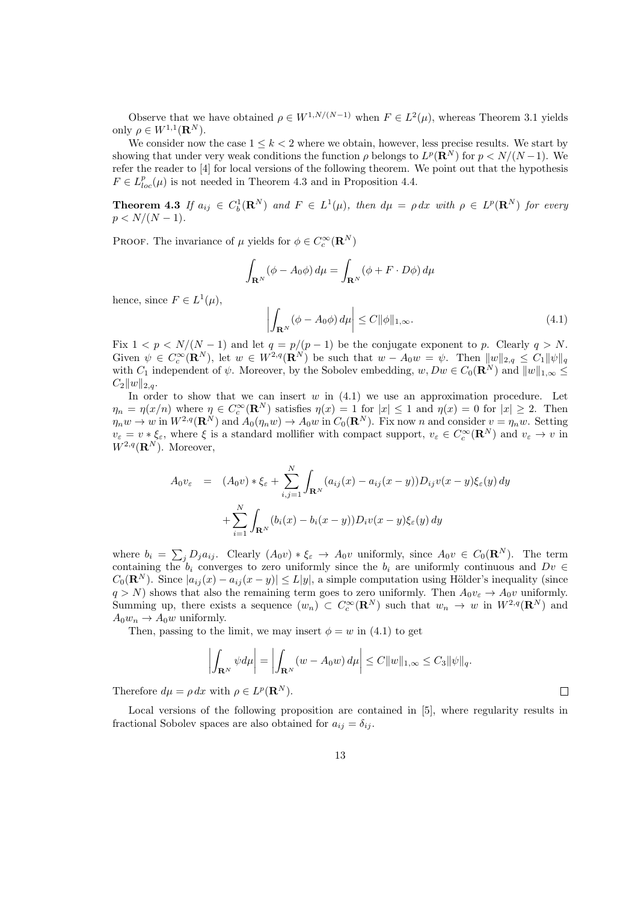Observe that we have obtained  $\rho \in W^{1,N/(N-1)}$  when  $F \in L^2(\mu)$ , whereas Theorem 3.1 yields only  $\rho \in W^{1,1}(\mathbf{R}^N)$ .

We consider now the case  $1 \leq k < 2$  where we obtain, however, less precise results. We start by showing that under very weak conditions the function  $\rho$  belongs to  $L^p(\mathbf{R}^N)$  for  $p < N/(N-1)$ . We refer the reader to [4] for local versions of the following theorem. We point out that the hypothesis  $F \in L^p_{loc}(\mu)$  is not needed in Theorem 4.3 and in Proposition 4.4.

**Theorem 4.3** If  $a_{ij} \in C_b^1(\mathbf{R}^N)$  and  $F \in L^1(\mu)$ , then  $d\mu = \rho dx$  with  $\rho \in L^p(\mathbf{R}^N)$  for every  $p < N/(N-1)$ .

PROOF. The invariance of  $\mu$  yields for  $\phi \in C_c^{\infty}(\mathbf{R}^N)$ 

$$
\int_{\mathbf{R}^N} (\phi - A_0 \phi) \, d\mu = \int_{\mathbf{R}^N} (\phi + F \cdot D\phi) \, d\mu
$$

hence, since  $F \in L^1(\mu)$ ,

$$
\left| \int_{\mathbf{R}^N} (\phi - A_0 \phi) \, d\mu \right| \le C \|\phi\|_{1,\infty}.
$$
\n(4.1)

 $\Box$ 

Fix  $1 < p < N/(N-1)$  and let  $q = p/(p-1)$  be the conjugate exponent to p. Clearly  $q > N$ . Given  $\psi \in C_c^{\infty}(\mathbf{R}^N)$ , let  $w \in W^{2,q}(\mathbf{R}^N)$  be such that  $w - A_0w = \psi$ . Then  $||w||_{2,q} \leq C_1 ||\psi||_q$ with  $C_1$  independent of  $\psi$ . Moreover, by the Sobolev embedding,  $w, Dw \in C_0(\mathbf{R}^N)$  and  $||w||_{1,\infty} \leq$  $C_2||w||_{2,q}$ .

In order to show that we can insert  $w$  in  $(4.1)$  we use an approximation procedure. Let  $\eta_n = \eta(x/n)$  where  $\eta \in C_c^{\infty}(\mathbf{R}^N)$  satisfies  $\eta(x) = 1$  for  $|x| \leq 1$  and  $\eta(x) = 0$  for  $|x| \geq 2$ . Then  $\eta_n w \to w$  in  $W^{2,q}(\mathbf{R}^N)$  and  $A_0(\eta_n w) \to A_0 w$  in  $C_0(\mathbf{R}^N)$ . Fix now n and consider  $v = \eta_n w$ . Setting  $v_{\varepsilon} = v * \xi_{\varepsilon}$ , where  $\xi$  is a standard mollifier with compact support,  $v_{\varepsilon} \in C_c^{\infty}(\mathbf{R}^N)$  and  $v_{\varepsilon} \to v$  in  $W^{2,q}(\mathbf{R}^N)$ . Moreover,

$$
A_0 v_{\varepsilon} = (A_0 v) * \xi_{\varepsilon} + \sum_{i,j=1}^N \int_{\mathbf{R}^N} (a_{ij}(x) - a_{ij}(x - y)) D_{ij} v(x - y) \xi_{\varepsilon}(y) dy
$$
  
+ 
$$
\sum_{i=1}^N \int_{\mathbf{R}^N} (b_i(x) - b_i(x - y)) D_i v(x - y) \xi_{\varepsilon}(y) dy
$$

where  $b_i = \sum_j D_j a_{ij}$ . Clearly  $(A_0 v) * \xi_{\varepsilon} \to A_0 v$  uniformly, since  $A_0 v \in C_0(\mathbf{R}^N)$ . The term containing the  $b_i$  converges to zero uniformly since the  $b_i$  are uniformly continuous and  $Dv \in$  $C_0(\mathbf{R}^N)$ . Since  $|a_{ij}(x) - a_{ij}(x - y)| \leq L|y|$ , a simple computation using Hölder's inequality (since  $q > N$ ) shows that also the remaining term goes to zero uniformly. Then  $A_0v_{\varepsilon} \to A_0v$  uniformly. Summing up, there exists a sequence  $(w_n) \subset C_c^{\infty}(\mathbb{R}^N)$  such that  $w_n \to w$  in  $W^{2,q}(\mathbb{R}^N)$  and  $A_0w_n \to A_0w$  uniformly.

Then, passing to the limit, we may insert  $\phi = w$  in (4.1) to get

$$
\left| \int_{\mathbf{R}^N} \psi d\mu \right| = \left| \int_{\mathbf{R}^N} (w - A_0 w) d\mu \right| \leq C \|w\|_{1,\infty} \leq C_3 \|\psi\|_q.
$$

Therefore  $d\mu = \rho dx$  with  $\rho \in L^p(\mathbf{R}^N)$ .

Local versions of the following proposition are contained in [5], where regularity results in fractional Sobolev spaces are also obtained for  $a_{ij} = \delta_{ij}$ .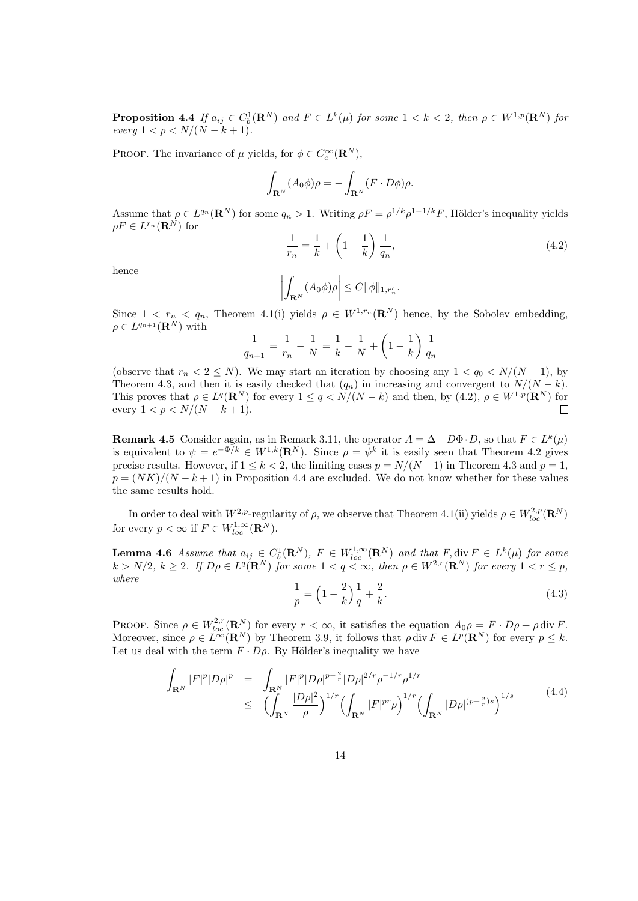**Proposition 4.4** If  $a_{ij} \in C_b^1(\mathbf{R}^N)$  and  $F \in L^k(\mu)$  for some  $1 < k < 2$ , then  $\rho \in W^{1,p}(\mathbf{R}^N)$  for every  $1 < p < N/(N - k + 1)$ .

PROOF. The invariance of  $\mu$  yields, for  $\phi \in C_c^{\infty}(\mathbf{R}^N)$ ,

$$
\int_{\mathbf{R}^N} (A_0 \phi) \rho = - \int_{\mathbf{R}^N} (F \cdot D\phi) \rho.
$$

Assume that  $\rho \in L^{q_n}(\mathbf{R}^N)$  for some  $q_n > 1$ . Writing  $\rho F = \rho^{1/k} \rho^{1-1/k} F$ , Hölder's inequality yields  $\rho F \in L^{r_n}({\bf R}^N)$  for

$$
\frac{1}{r_n} = \frac{1}{k} + \left(1 - \frac{1}{k}\right) \frac{1}{q_n},\tag{4.2}
$$

hence

$$
\left| \int_{\mathbf{R}^N} (A_0 \phi) \rho \right| \leq C ||\phi||_{1, r'_n}.
$$

Since  $1 \leq r_n \leq q_n$ , Theorem 4.1(i) yields  $\rho \in W^{1,r_n}(\mathbf{R}^N)$  hence, by the Sobolev embedding,  $\rho \in L^{q_{n+1}}(\mathbf{R}^N)$  with

$$
\frac{1}{q_{n+1}} = \frac{1}{r_n} - \frac{1}{N} = \frac{1}{k} - \frac{1}{N} + \left(1 - \frac{1}{k}\right)\frac{1}{q_n}
$$

(observe that  $r_n < 2 \le N$ ). We may start an iteration by choosing any  $1 < q_0 < N/(N-1)$ , by Theorem 4.3, and then it is easily checked that  $(q_n)$  in increasing and convergent to  $N/(N-k)$ . This proves that  $\rho \in L^q(\mathbf{R}^N)$  for every  $1 \leq q \leq N/(N-k)$  and then, by  $(4.2)$ ,  $\rho \in W^{1,p}(\mathbf{R}^N)$  for every  $1 < p < N/(N - k + 1)$ .  $\Box$ 

**Remark 4.5** Consider again, as in Remark 3.11, the operator  $A = \Delta - D\Phi \cdot D$ , so that  $F \in L^k(\mu)$ is equivalent to  $\psi = e^{-\Phi/k} \in W^{1,k}(\mathbf{R}^N)$ . Since  $\rho = \psi^k$  it is easily seen that Theorem 4.2 gives precise results. However, if  $1 \leq k \leq 2$ , the limiting cases  $p = N/(N-1)$  in Theorem 4.3 and  $p = 1$ ,  $p = (NK)/(N - k + 1)$  in Proposition 4.4 are excluded. We do not know whether for these values the same results hold.

In order to deal with  $W^{2,p}$ -regularity of  $\rho$ , we observe that Theorem 4.1(ii) yields  $\rho \in W^{2,p}_{loc}(\mathbf{R}^N)$ for every  $p < \infty$  if  $F \in W_{loc}^{1,\infty}(\mathbf{R}^N)$ .

**Lemma 4.6** Assume that  $a_{ij} \in C_b^1(\mathbf{R}^N)$ ,  $F \in W_{loc}^{1,\infty}(\mathbf{R}^N)$  and that  $F, \text{div } F \in L^k(\mu)$  for some  $k > N/2, k \geq 2$ . If  $D\rho \in L^q(\mathbf{R}^N)$  for some  $1 < q < \infty$ , then  $\rho \in W^{2,r}(\mathbf{R}^N)$  for every  $1 < r \leq p$ , where

$$
\frac{1}{p} = \left(1 - \frac{2}{k}\right)\frac{1}{q} + \frac{2}{k}.\tag{4.3}
$$

PROOF. Since  $\rho \in W^{2,r}_{loc}(\mathbf{R}^N)$  for every  $r < \infty$ , it satisfies the equation  $A_0 \rho = F \cdot D \rho + \rho \, \text{div } F$ . Moreover, since  $\rho \in L^{\infty}(\mathbf{R}^N)$  by Theorem 3.9, it follows that  $\rho \, \text{div} \, F \in L^p(\mathbf{R}^N)$  for every  $p \leq k$ . Let us deal with the term  $F \cdot D\rho$ . By Hölder's inequality we have

$$
\int_{\mathbf{R}^N} |F|^p |D\rho|^p = \int_{\mathbf{R}^N} |F|^p |D\rho|^{p-\frac{2}{r}} |D\rho|^{2/r} \rho^{-1/r} \rho^{1/r} \n\le \left( \int_{\mathbf{R}^N} \frac{|D\rho|^2}{\rho} \right)^{1/r} \left( \int_{\mathbf{R}^N} |F|^{pr} \rho \right)^{1/r} \left( \int_{\mathbf{R}^N} |D\rho|^{(p-\frac{2}{r})s} \right)^{1/s}
$$
\n(4.4)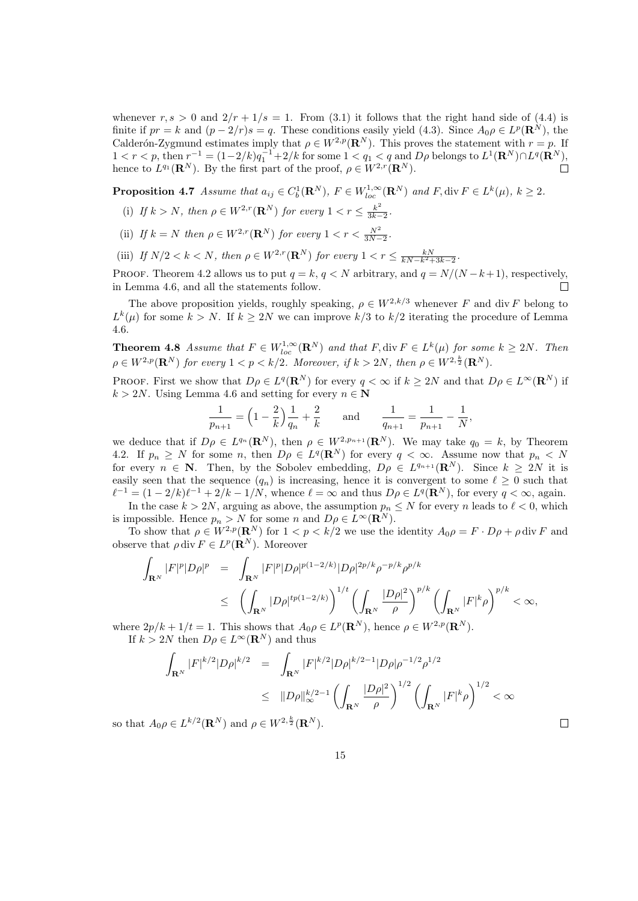whenever  $r, s > 0$  and  $2/r + 1/s = 1$ . From (3.1) it follows that the right hand side of (4.4) is finite if  $pr = k$  and  $(p - 2/r)s = q$ . These conditions easily yield (4.3). Since  $A_0 \rho \in L^p(\mathbf{R}^N)$ , the Calderón-Zygmund estimates imply that  $\rho \in W^{2,p}(\mathbf{R}^N)$ . This proves the statement with  $r = p$ . If  $1 < r < p$ , then  $r^{-1} = (1-2/k)q_1^{-1} + 2/k$  for some  $1 < q_1 < q$  and  $D\rho$  belongs to  $L^1(\mathbf{R}^N) \cap L^q(\mathbf{R}^N)$ , hence to  $L^{q_1}(\mathbf{R}^N)$ . By the first part of the proof,  $\rho \in W^{2,r}(\mathbf{R}^N)$ .  $\Box$ 

**Proposition 4.7** Assume that  $a_{ij} \in C_b^1(\mathbf{R}^N)$ ,  $F \in W_{loc}^{1,\infty}(\mathbf{R}^N)$  and  $F$ , div  $F \in L^k(\mu)$ ,  $k \geq 2$ .

- (i) If  $k > N$ , then  $\rho \in W^{2,r}(\mathbf{R}^N)$  for every  $1 < r \leq \frac{k^2}{3k-1}$  $\frac{k^2}{3k-2}$ .
- (ii) If  $k = N$  then  $\rho \in W^{2,r}(\mathbf{R}^N)$  for every  $1 < r < \frac{N^2}{3N-2}$ .
- (iii) If  $N/2 < k < N$ , then  $\rho \in W^{2,r}(\mathbf{R}^N)$  for every  $1 < r \leq \frac{kN}{kN-k^2+3k-2}$ .

PROOF. Theorem 4.2 allows us to put  $q = k$ ,  $q < N$  arbitrary, and  $q = N/(N - k + 1)$ , respectively, in Lemma 4.6, and all the statements follow.

The above proposition yields, roughly speaking,  $\rho \in W^{2,k/3}$  whenever F and div F belong to  $L^k(\mu)$  for some  $k > N$ . If  $k \geq 2N$  we can improve  $k/3$  to  $k/2$  iterating the procedure of Lemma 4.6.

**Theorem 4.8** Assume that  $F \in W_{loc}^{1,\infty}(\mathbf{R}^N)$  and that  $F$ , div  $F \in L^k(\mu)$  for some  $k \geq 2N$ . Then  $\rho \in W^{2,p}(\mathbf{R}^N)$  for every  $1 < p < k/2$ . Moreover, if  $k > 2N$ , then  $\rho \in W^{2,\frac{k}{2}}(\mathbf{R}^N)$ .

PROOF. First we show that  $D\rho \in L^q(\mathbf{R}^N)$  for every  $q < \infty$  if  $k \geq 2N$  and that  $D\rho \in L^{\infty}(\mathbf{R}^N)$  if  $k > 2N$ . Using Lemma 4.6 and setting for every  $n \in \mathbb{N}$ 

$$
\frac{1}{p_{n+1}} = \left(1 - \frac{2}{k}\right)\frac{1}{q_n} + \frac{2}{k} \quad \text{and} \quad \frac{1}{q_{n+1}} = \frac{1}{p_{n+1}} - \frac{1}{N},
$$

we deduce that if  $D\rho \in L^{q_n}(\mathbf{R}^N)$ , then  $\rho \in W^{2,p_{n+1}}(\mathbf{R}^N)$ . We may take  $q_0 = k$ , by Theorem 4.2. If  $p_n \geq N$  for some n, then  $D\rho \in L^q(\mathbf{R}^N)$  for every  $q < \infty$ . Assume now that  $p_n < N$ for every  $n \in \mathbb{N}$ . Then, by the Sobolev embedding,  $D\rho \in L^{q_{n+1}}(\mathbb{R}^N)$ . Since  $k \geq 2N$  it is easily seen that the sequence  $(q_n)$  is increasing, hence it is convergent to some  $\ell \geq 0$  such that  $\ell^{-1} = (1 - 2/k)\ell^{-1} + 2/k - 1/N$ , whence  $\ell = \infty$  and thus  $D\rho \in L^q(\mathbf{R}^N)$ , for every  $q < \infty$ , again.

In the case  $k > 2N$ , arguing as above, the assumption  $p_n \leq N$  for every n leads to  $\ell < 0$ , which is impossible. Hence  $p_n > N$  for some n and  $D\rho \in L^{\infty}(\mathbb{R}^N)$ .

To show that  $\rho \in W^{2,p}(\mathbf{R}^N)$  for  $1 < p < k/2$  we use the identity  $A_0 \rho = F \cdot D \rho + \rho \, \text{div } F$  and observe that  $\rho \, \text{div} \, F \in L^p(\mathbf{R}^N)$ . Moreover

$$
\int_{\mathbf{R}^N} |F|^p |D\rho|^p = \int_{\mathbf{R}^N} |F|^p |D\rho|^{p(1-2/k)} |D\rho|^{2p/k} \rho^{-p/k} \rho^{p/k}
$$
\n
$$
\leq \left( \int_{\mathbf{R}^N} |D\rho|^{tp(1-2/k)} \right)^{1/t} \left( \int_{\mathbf{R}^N} \frac{|D\rho|^2}{\rho} \right)^{p/k} \left( \int_{\mathbf{R}^N} |F|^k \rho \right)^{p/k} < \infty,
$$

where  $2p/k + 1/t = 1$ . This shows that  $A_0 \rho \in L^p(\mathbf{R}^N)$ , hence  $\rho \in W^{2,p}(\mathbf{R}^N)$ . If  $k > 2N$  then  $D\rho \in L^{\infty}(\mathbf{R}^N)$  and thus

$$
\int_{\mathbf{R}^N} |F|^{k/2} |D\rho|^{k/2} = \int_{\mathbf{R}^N} |F|^{k/2} |D\rho|^{k/2-1} |D\rho|\rho^{-1/2} \rho^{1/2}
$$
\n
$$
\leq ||D\rho||_{\infty}^{k/2-1} \left( \int_{\mathbf{R}^N} \frac{|D\rho|^2}{\rho} \right)^{1/2} \left( \int_{\mathbf{R}^N} |F|^k \rho \right)^{1/2} < \infty
$$

 $\Box$ 

so that  $A_0 \rho \in L^{k/2}(\mathbf{R}^N)$  and  $\rho \in W^{2, \frac{k}{2}}(\mathbf{R}^N)$ .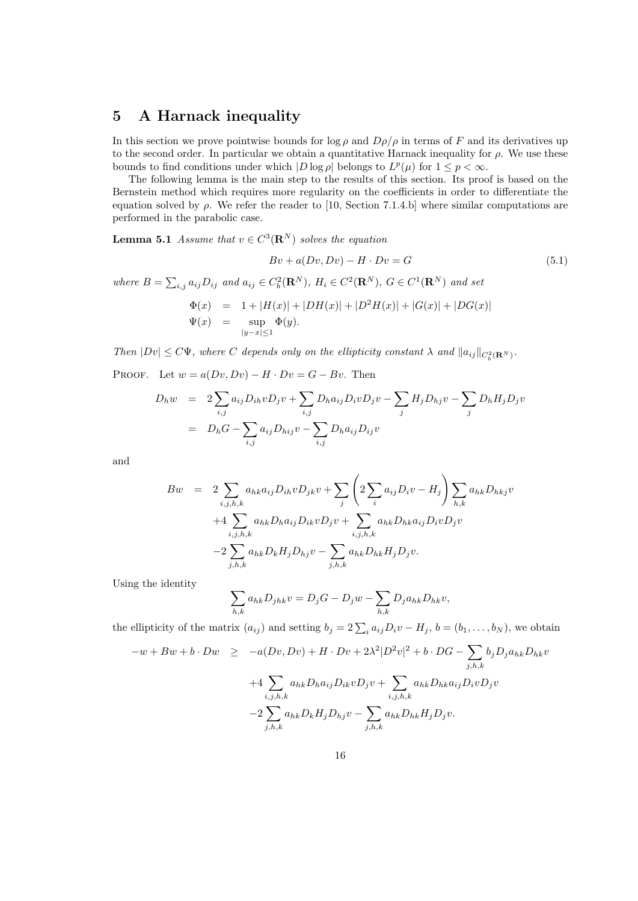## 5 A Harnack inequality

In this section we prove pointwise bounds for  $\log \rho$  and  $D\rho/\rho$  in terms of F and its derivatives up to the second order. In particular we obtain a quantitative Harnack inequality for  $\rho$ . We use these bounds to find conditions under which  $|D \log \rho|$  belongs to  $L^p(\mu)$  for  $1 \leq p < \infty$ .

The following lemma is the main step to the results of this section. Its proof is based on the Bernstein method which requires more regularity on the coefficients in order to differentiate the equation solved by  $\rho$ . We refer the reader to [10, Section 7.1.4.b] where similar computations are performed in the parabolic case.

**Lemma 5.1** Assume that  $v \in C^3(\mathbf{R}^N)$  solves the equation

$$
Bv + a(Dv, Dv) - H \cdot Dv = G \tag{5.1}
$$

where  $B = \sum_{i,j} a_{ij} D_{ij}$  and  $a_{ij} \in C_b^2(\mathbf{R}^N)$ ,  $H_i \in C^2(\mathbf{R}^N)$ ,  $G \in C^1(\mathbf{R}^N)$  and set

$$
\Phi(x) = 1 + |H(x)| + |DH(x)| + |D^2H(x)| + |G(x)| + |DG(x)|
$$
  

$$
\Psi(x) = \sup_{|y-x| \le 1} \Phi(y).
$$

Then  $|Dv| \leq C\Psi$ , where C depends only on the ellipticity constant  $\lambda$  and  $||a_{ij}||_{C_b^2(\mathbf{R}^N)}$ .

PROOF. Let  $w = a(Dv, Dv) - H \cdot Dv = G - Bv$ . Then

$$
D_h w = 2 \sum_{i,j} a_{ij} D_{ih} v D_j v + \sum_{i,j} D_h a_{ij} D_i v D_j v - \sum_j H_j D_{hj} v - \sum_j D_h H_j D_j v
$$
  
= 
$$
D_h G - \sum_{i,j} a_{ij} D_{hij} v - \sum_{i,j} D_h a_{ij} D_{ij} v
$$

and

$$
Bw = 2 \sum_{i,j,h,k} a_{hk} a_{ij} D_{ih} v D_{jk} v + \sum_{j} \left( 2 \sum_{i} a_{ij} D_{i} v - H_{j} \right) \sum_{h,k} a_{hk} D_{hkj} v + 4 \sum_{i,j,h,k} a_{hk} D_{h} a_{ij} D_{ik} v D_{j} v + \sum_{i,j,h,k} a_{hk} D_{hk} a_{ij} D_{i} v D_{j} v - 2 \sum_{j,h,k} a_{hk} D_{k} H_{j} D_{hj} v - \sum_{j,h,k} a_{hk} D_{hk} H_{j} D_{j} v.
$$

Using the identity

$$
\sum_{h,k} a_{hk} D_{jhk} v = D_j G - D_j w - \sum_{h,k} D_j a_{hk} D_{hk} v,
$$

the ellipticity of the matrix  $(a_{ij})$  and setting  $b_j = 2\sum_i a_{ij}D_i v - H_j$ ,  $b = (b_1, \ldots, b_N)$ , we obtain

$$
-w + Bw + b \cdot Dw \ge -a(Dv, Dv) + H \cdot Dv + 2\lambda^2 |D^2v|^2 + b \cdot DG - \sum_{j,h,k} b_j D_j a_{hk} D_{hk}v
$$
  
+4 
$$
\sum_{i,j,h,k} a_{hk} D_h a_{ij} D_{ik} v D_j v + \sum_{i,j,h,k} a_{hk} D_{hk} a_{ij} D_i v D_j v
$$
  
-2 
$$
\sum_{j,h,k} a_{hk} D_k H_j D_{hj} v - \sum_{j,h,k} a_{hk} D_{hk} H_j D_j v.
$$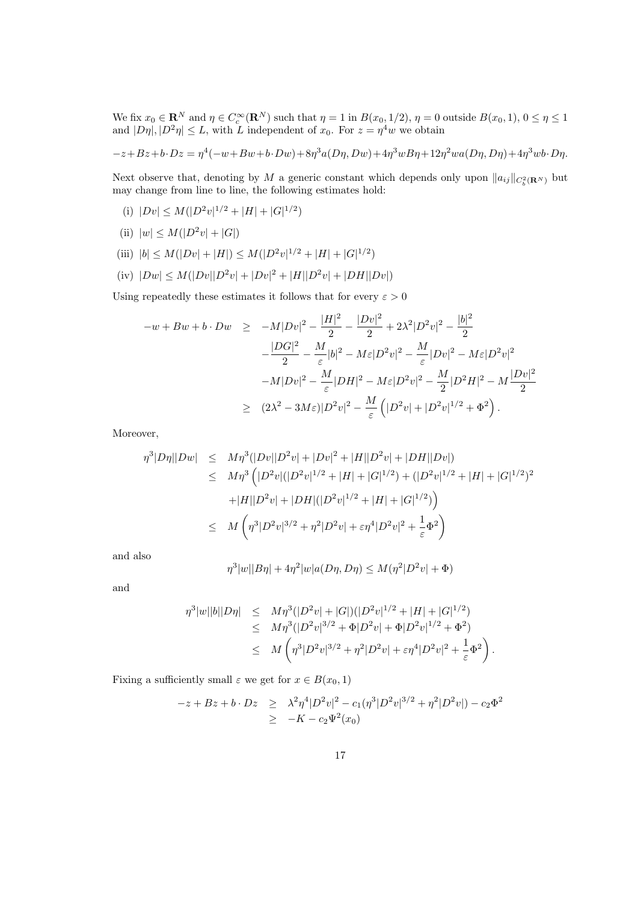We fix  $x_0 \in \mathbf{R}^N$  and  $\eta \in C_c^{\infty}(\mathbf{R}^N)$  such that  $\eta = 1$  in  $B(x_0, 1/2)$ ,  $\eta = 0$  outside  $B(x_0, 1)$ ,  $0 \le \eta \le 1$ and  $|D\eta|, |D^2\eta| \leq L$ , with L independent of  $x_0$ . For  $z = \eta^4 w$  we obtain

$$
-z+Bz+b\cdot Dz = \eta^4(-w+Bw+b\cdot Dw)+8\eta^3a(D\eta, Dw)+4\eta^3wB\eta+12\eta^2wa(D\eta, D\eta)+4\eta^3wb\cdot D\eta.
$$

Next observe that, denoting by M a generic constant which depends only upon  $||a_{ij}||_{C_b^2(\mathbf{R}^N)}$  but may change from line to line, the following estimates hold:

- (i)  $|Dv| \leq M(|D^2v|^{1/2} + |H| + |G|^{1/2})$
- (ii)  $|w| \le M(|D^2v| + |G|)$
- (iii)  $|b| \leq M(|Dv| + |H|) \leq M(|D^2v|^{1/2} + |H| + |G|^{1/2})$
- (iv)  $|Dw| \leq M(|Dv||D^2v| + |Dv|^2 + |H||D^2v| + |DH||Dv|)$

Using repeatedly these estimates it follows that for every  $\varepsilon > 0$ 

$$
-w + Bw + b \cdot Dw \ge -M|Dv|^2 - \frac{|H|^2}{2} - \frac{|Dv|^2}{2} + 2\lambda^2 |D^2v|^2 - \frac{|b|^2}{2}
$$
  

$$
-\frac{|DG|^2}{2} - \frac{M}{\varepsilon} |b|^2 - M\varepsilon |D^2v|^2 - \frac{M}{\varepsilon} |Dv|^2 - M\varepsilon |D^2v|^2
$$
  

$$
-M|Dv|^2 - \frac{M}{\varepsilon} |DH|^2 - M\varepsilon |D^2v|^2 - \frac{M}{2} |D^2H|^2 - M\frac{|Dv|^2}{2}
$$
  

$$
\ge (2\lambda^2 - 3M\varepsilon)|D^2v|^2 - \frac{M}{\varepsilon} (|D^2v| + |D^2v|^{1/2} + \Phi^2).
$$

Moreover,

$$
\eta^{3}|D\eta||Dw| \leq M\eta^{3}(|Dv||D^{2}v| + |Dv|^{2} + |H||D^{2}v| + |DH||Dv|)
$$
  
\n
$$
\leq M\eta^{3} (|D^{2}v|(|D^{2}v|^{1/2} + |H| + |G|^{1/2}) + (|D^{2}v|^{1/2} + |H| + |G|^{1/2})^{2}
$$
  
\n
$$
+|H||D^{2}v| + |DH|(|D^{2}v|^{1/2} + |H| + |G|^{1/2})
$$
  
\n
$$
\leq M \left(\eta^{3}|D^{2}v|^{3/2} + \eta^{2}|D^{2}v| + \varepsilon\eta^{4}|D^{2}v|^{2} + \frac{1}{\varepsilon}\Phi^{2}\right)
$$

and also

$$
\eta^{3}|w||B\eta| + 4\eta^{2}|w|a(D\eta, D\eta) \le M(\eta^{2}|D^{2}v| + \Phi)
$$

and

$$
\eta^{3}|w||b||D\eta| \leq M\eta^{3}(|D^{2}v|+|G|)(|D^{2}v|^{1/2}+|H|+|G|^{1/2})
$$
  
\n
$$
\leq M\eta^{3}(|D^{2}v|^{3/2}+\Phi|D^{2}v|+\Phi|D^{2}v|^{1/2}+\Phi^{2})
$$
  
\n
$$
\leq M\left(\eta^{3}|D^{2}v|^{3/2}+\eta^{2}|D^{2}v|+\varepsilon\eta^{4}|D^{2}v|^{2}+\frac{1}{\varepsilon}\Phi^{2}\right).
$$

Fixing a sufficiently small  $\varepsilon$  we get for  $x \in B(x_0, 1)$ 

$$
-z + Bz + b \cdot Dz \geq \lambda^2 \eta^4 |D^2 v|^2 - c_1 (\eta^3 |D^2 v|^{3/2} + \eta^2 |D^2 v|) - c_2 \Phi^2
$$
  
 
$$
\geq -K - c_2 \Psi^2(x_0)
$$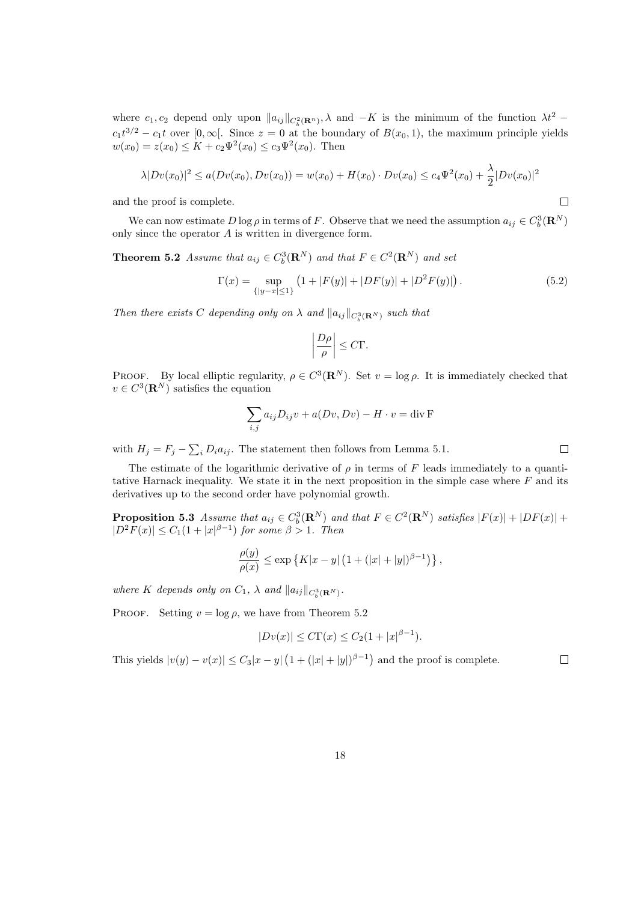where  $c_1, c_2$  depend only upon  $||a_{ij}||_{C_b^2(\mathbf{R}^n)}$ ,  $\lambda$  and  $-K$  is the minimum of the function  $\lambda t^2$  –  $c_1t^{3/2} - c_1t$  over  $[0, \infty[$ . Since  $z = 0$  at the boundary of  $B(x_0, 1)$ , the maximum principle yields  $w(x_0) = z(x_0) \le K + c_2 \Psi^2(x_0) \le c_3 \Psi^2(x_0)$ . Then

$$
\lambda |Dv(x_0)|^2 \le a(Dv(x_0), Dv(x_0)) = w(x_0) + H(x_0) \cdot Dv(x_0) \le c_4 \Psi^2(x_0) + \frac{\lambda}{2} |Dv(x_0)|^2
$$

and the proof is complete.

We can now estimate  $D \log \rho$  in terms of F. Observe that we need the assumption  $a_{ij} \in C_b^3(\mathbf{R}^N)$ only since the operator A is written in divergence form.

**Theorem 5.2** Assume that  $a_{ij} \in C_b^3(\mathbf{R}^N)$  and that  $F \in C^2(\mathbf{R}^N)$  and set

$$
\Gamma(x) = \sup_{\{|y-x| \le 1\}} (1 + |F(y)| + |DF(y)| + |D^2 F(y)|).
$$
\n(5.2)

Then there exists C depending only on  $\lambda$  and  $||a_{ij}||_{C_b^3({\bf R}^N)}$  such that

$$
\left|\frac{D\rho}{\rho}\right| \leq C\Gamma.
$$

PROOF. By local elliptic regularity,  $\rho \in C^3(\mathbf{R}^N)$ . Set  $v = \log \rho$ . It is immediately checked that  $v \in C^3(\mathbf{R}^N)$  satisfies the equation

$$
\sum_{i,j} a_{ij} D_{ij} v + a(Dv, Dv) - H \cdot v = \text{div } \mathbf{F}
$$

with  $H_j = F_j - \sum_i D_i a_{ij}$ . The statement then follows from Lemma 5.1.

The estimate of the logarithmic derivative of  $\rho$  in terms of F leads immediately to a quantitative Harnack inequality. We state it in the next proposition in the simple case where  $F$  and its derivatives up to the second order have polynomial growth.

**Proposition 5.3** Assume that  $a_{ij} \in C_b^3(\mathbf{R}^N)$  and that  $F \in C^2(\mathbf{R}^N)$  satisfies  $|F(x)| + |DF(x)| + |F(x)|$  $|D^2F(x)| \leq C_1(1+|x|^{\beta-1})$  for some  $\beta > 1$ . Then

$$
\frac{\rho(y)}{\rho(x)} \le \exp \left\{ K|x-y| \left( 1 + (|x|+|y|)^{\beta-1} \right) \right\},\,
$$

where K depends only on  $C_1$ ,  $\lambda$  and  $||a_{ij}||_{C_b^3({\bf R}^N)}$ .

PROOF. Setting  $v = \log \rho$ , we have from Theorem 5.2

$$
|Dv(x)| \le C\Gamma(x) \le C_2(1+|x|^{\beta-1}).
$$

This yields  $|v(y) - v(x)| \leq C_3|x - y| (1 + (|x| + |y|)^{\beta - 1})$  and the proof is complete.

 $\Box$ 

 $\Box$ 

 $\Box$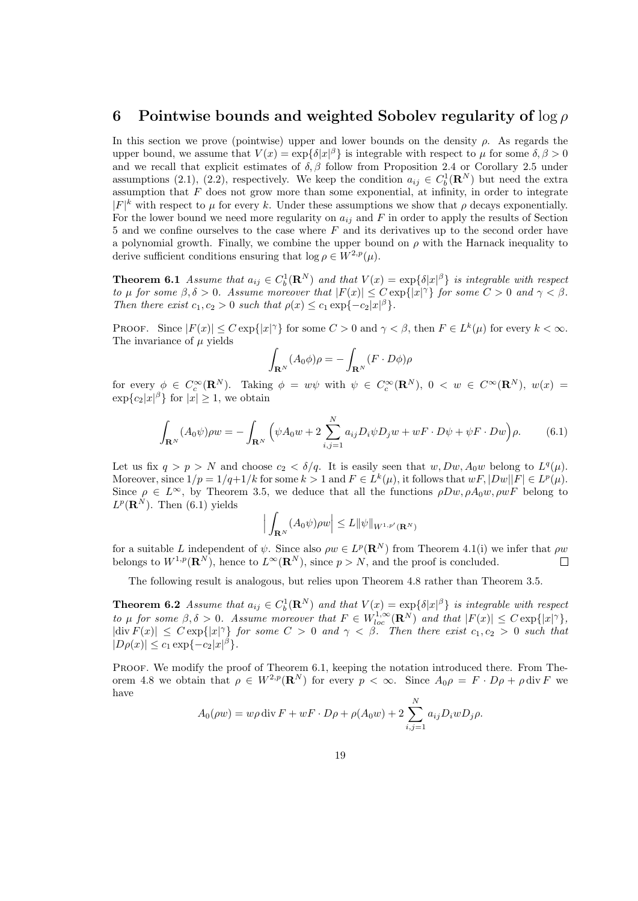#### 6 Pointwise bounds and weighted Sobolev regularity of  $\log \rho$

In this section we prove (pointwise) upper and lower bounds on the density  $\rho$ . As regards the upper bound, we assume that  $V(x) = \exp{\{\delta |x|^{\beta}\}}$  is integrable with respect to  $\mu$  for some  $\delta, \beta > 0$ and we recall that explicit estimates of  $\delta$ ,  $\beta$  follow from Proposition 2.4 or Corollary 2.5 under assumptions (2.1), (2.2), respectively. We keep the condition  $a_{ij} \in C_b^1(\mathbf{R}^N)$  but need the extra assumption that  $F$  does not grow more than some exponential, at infinity, in order to integrate  $|F|^k$  with respect to  $\mu$  for every k. Under these assumptions we show that  $\rho$  decays exponentially. For the lower bound we need more regularity on  $a_{ij}$  and F in order to apply the results of Section 5 and we confine ourselves to the case where  $F$  and its derivatives up to the second order have a polynomial growth. Finally, we combine the upper bound on  $\rho$  with the Harnack inequality to derive sufficient conditions ensuring that  $\log \rho \in W^{2,p}(\mu)$ .

**Theorem 6.1** Assume that  $a_{ij} \in C_b^1(\mathbf{R}^N)$  and that  $V(x) = \exp\{\delta|x|^\beta\}$  is integrable with respect to  $\mu$  for some  $\beta, \delta > 0$ . Assume moreover that  $|F(x)| \leq C \exp\{|x|^\gamma\}$  for some  $C > 0$  and  $\gamma < \beta$ . Then there exist  $c_1, c_2 > 0$  such that  $\rho(x) \leq c_1 \exp\{-c_2 |x|^{\beta}\}.$ 

PROOF. Since  $|F(x)| \leq C \exp\{|x|^\gamma\}$  for some  $C > 0$  and  $\gamma < \beta$ , then  $F \in L^k(\mu)$  for every  $k < \infty$ . The invariance of  $\mu$  yields

$$
\int_{\mathbf{R}^N} (A_0 \phi) \rho = - \int_{\mathbf{R}^N} (F \cdot D\phi) \rho
$$

for every  $\phi \in C_c^{\infty}(\mathbf{R}^N)$ . Taking  $\phi = w\psi$  with  $\psi \in C_c^{\infty}(\mathbf{R}^N)$ ,  $0 \lt w \in C^{\infty}(\mathbf{R}^N)$ ,  $w(x) =$  $\exp\{c_2|x|^{\beta}\}\$ for  $|x|\geq 1$ , we obtain

$$
\int_{\mathbf{R}^N} (A_0 \psi) \rho w = -\int_{\mathbf{R}^N} \left( \psi A_0 w + 2 \sum_{i,j=1}^N a_{ij} D_i \psi D_j w + w F \cdot D \psi + \psi F \cdot Dw \right) \rho.
$$
 (6.1)

Let us fix  $q > p > N$  and choose  $c_2 < \delta/q$ . It is easily seen that  $w, Dw, A_0w$  belong to  $L^q(\mu)$ . Moreover, since  $1/p = 1/q+1/k$  for some  $k > 1$  and  $F \in L^k(\mu)$ , it follows that  $wF, |Dw||F| \in L^p(\mu)$ . Since  $\rho \in L^{\infty}$ , by Theorem 3.5, we deduce that all the functions  $\rho Dw, \rho A_0w, \rho wF$  belong to  $L^p(\mathbf{R}^N)$ . Then (6.1) yields

$$
\Big|\int_{\mathbf{R}^N}(A_0\psi)\rho w\Big|\leq L\|\psi\|_{W^{1,p'}(\mathbf{R}^N)}
$$

for a suitable L independent of  $\psi$ . Since also  $\rho w \in L^p(\mathbf{R}^N)$  from Theorem 4.1(i) we infer that  $\rho w$ belongs to  $W^{1,p}(\mathbf{R}^N)$ , hence to  $L^{\infty}(\mathbf{R}^N)$ , since  $p > N$ , and the proof is concluded.  $\Box$ 

The following result is analogous, but relies upon Theorem 4.8 rather than Theorem 3.5.

**Theorem 6.2** Assume that  $a_{ij} \in C_b^1(\mathbf{R}^N)$  and that  $V(x) = \exp\{\delta|x|^\beta\}$  is integrable with respect to  $\mu$  for some  $\beta, \delta > 0$ . Assume moreover that  $F \in W_{loc}^{1,\infty}(\mathbf{R}^N)$  and that  $|F(x)| \leq C \exp\{|x|^{\gamma}\},$  $|\text{div } F(x)| \leq C \exp\{|x|^{\gamma}\}\$  for some  $C > 0$  and  $\gamma < \beta$ . Then there exist  $c_1, c_2 > 0$  such that  $|D\rho(x)| \leq c_1 \exp\{-c_2|x|^\beta\}.$ 

PROOF. We modify the proof of Theorem 6.1, keeping the notation introduced there. From Theorem 4.8 we obtain that  $\rho \in W^{2,p}(\mathbf{R}^N)$  for every  $p < \infty$ . Since  $A_0 \rho = F \cdot D \rho + \rho \, \text{div } F$  we have

$$
A_0(\rho w) = w\rho \operatorname{div} F + wF \cdot D\rho + \rho(A_0 w) + 2 \sum_{i,j=1}^N a_{ij} D_i w D_j \rho.
$$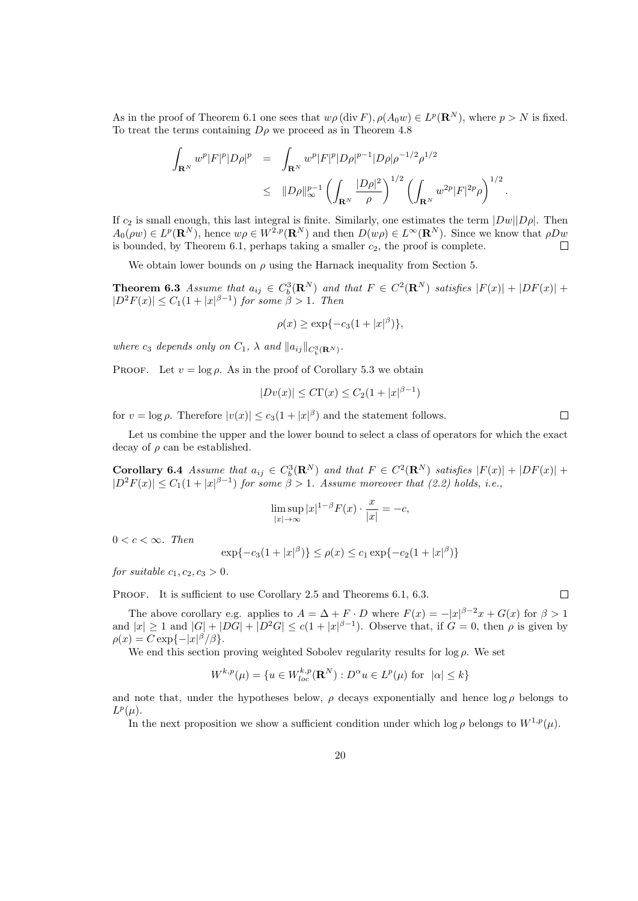As in the proof of Theorem 6.1 one sees that  $w\rho(\text{div } F)$ ,  $\rho(A_0w) \in L^p(\mathbf{R}^N)$ , where  $p > N$  is fixed. To treat the terms containing  $D\rho$  we proceed as in Theorem 4.8

$$
\int_{\mathbf{R}^N} w^p |F|^p |D\rho|^p = \int_{\mathbf{R}^N} w^p |F|^p |D\rho|^{p-1} |D\rho| \rho^{-1/2} \rho^{1/2}
$$
\n
$$
\leq ||D\rho||_{\infty}^{p-1} \left( \int_{\mathbf{R}^N} \frac{|D\rho|^2}{\rho} \right)^{1/2} \left( \int_{\mathbf{R}^N} w^{2p} |F|^{2p} \rho \right)^{1/2}.
$$

If  $c_2$  is small enough, this last integral is finite. Similarly, one estimates the term  $|Dw||D\rho|$ . Then  $A_0(\rho w) \in L^p(\mathbf{R}^N)$ , hence  $w\rho \in W^{2,p}(\mathbf{R}^N)$  and then  $D(w\rho) \in L^{\infty}(\mathbf{R}^N)$ . Since we know that  $\rho Dw$ is bounded, by Theorem 6.1, perhaps taking a smaller  $c_2$ , the proof is complete.  $\Box$ 

We obtain lower bounds on  $\rho$  using the Harnack inequality from Section 5.

**Theorem 6.3** Assume that  $a_{ij} \in C_b^3(\mathbf{R}^N)$  and that  $F \in C^2(\mathbf{R}^N)$  satisfies  $|F(x)| + |DF(x)| +$  $|D^2F(x)| \leq C_1(1+|x|^{\beta-1})$  for some  $\beta > 1$ . Then

$$
\rho(x) \ge \exp\{-c_3(1+|x|^\beta)\},\
$$

where  $c_3$  depends only on  $C_1$ ,  $\lambda$  and  $||a_{ij}||_{C_b^3({\bf R}^N)}$ .

PROOF. Let  $v = \log \rho$ . As in the proof of Corollary 5.3 we obtain

$$
|Dv(x)| \le C\Gamma(x) \le C_2(1+|x|^{\beta-1})
$$

for  $v = \log \rho$ . Therefore  $|v(x)| \leq c_3(1+|x|^{\beta})$  and the statement follows.

Let us combine the upper and the lower bound to select a class of operators for which the exact decay of  $\rho$  can be established.

**Corollary 6.4** Assume that  $a_{ij} \in C_b^3(\mathbf{R}^N)$  and that  $F \in C^2(\mathbf{R}^N)$  satisfies  $|F(x)| + |DF(x)| + |F(x)|$  $|D^2F(x)| \leq C_1(1+|x|^{\beta-1})$  for some  $\beta > 1$ . Assume moreover that (2.2) holds, i.e.,

$$
\limsup_{|x| \to \infty} |x|^{1-\beta} F(x) \cdot \frac{x}{|x|} = -c,
$$

 $0 < c < \infty$ . Then

$$
\exp\{-c_3(1+|x|^{\beta})\} \le \rho(x) \le c_1 \exp\{-c_2(1+|x|^{\beta})\}
$$

for suitable  $c_1, c_2, c_3 > 0$ .

PROOF. It is sufficient to use Corollary 2.5 and Theorems 6.1, 6.3.

The above corollary e.g. applies to  $A = \Delta + F \cdot D$  where  $F(x) = -|x|^{\beta-2}x + G(x)$  for  $\beta > 1$ and  $|x| \geq 1$  and  $|G| + |DG| + |D^2G| \leq c(1+|x|^{\beta-1})$ . Observe that, if  $G = 0$ , then  $\rho$  is given by  $\rho(x) = C \exp\{-|x|^{\beta}/\beta\}.$ 

We end this section proving weighted Sobolev regularity results for  $\log \rho$ . We set

$$
W^{k,p}(\mu) = \{ u \in W^{k,p}_{loc}(\mathbf{R}^N) : D^{\alpha}u \in L^p(\mu) \text{ for } |\alpha| \le k \}
$$

and note that, under the hypotheses below,  $\rho$  decays exponentially and hence  $\log \rho$  belongs to  $L^p(\mu)$ .

In the next proposition we show a sufficient condition under which log  $\rho$  belongs to  $W^{1,p}(\mu)$ .

 $\Box$ 

 $\Box$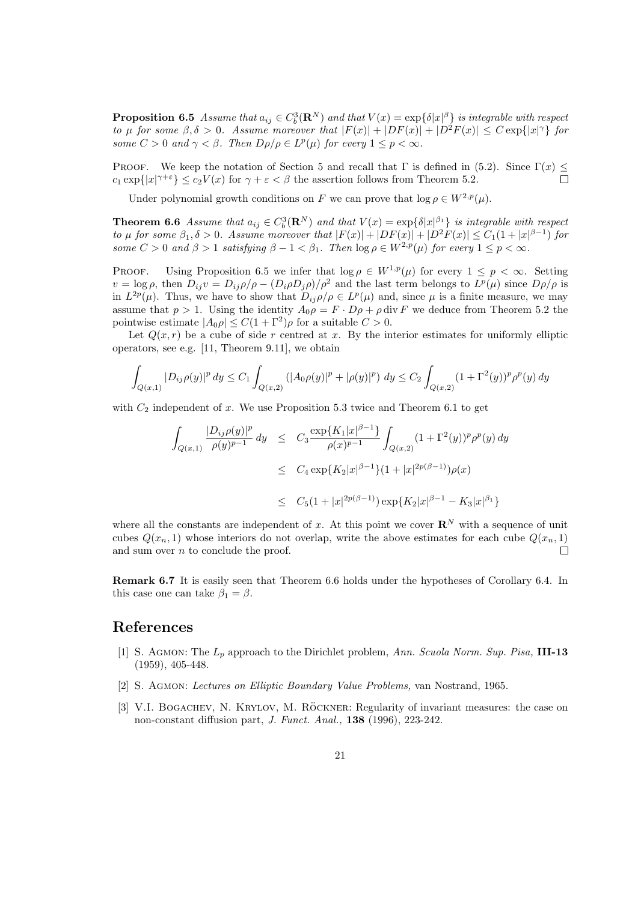**Proposition 6.5** Assume that  $a_{ij} \in C_b^3(\mathbf{R}^N)$  and that  $V(x) = \exp\{\delta|x|^\beta\}$  is integrable with respect to  $\mu$  for some  $\beta, \delta > 0$ . Assume moreover that  $|F(x)| + |DF(x)| + |D^2F(x)| \leq C \exp\{|x|^{\gamma}\}\$  for some  $C > 0$  and  $\gamma < \beta$ . Then  $D\rho/\rho \in L^p(\mu)$  for every  $1 \leq p < \infty$ .

PROOF. We keep the notation of Section 5 and recall that  $\Gamma$  is defined in (5.2). Since  $\Gamma(x) \leq$  $c_1 \exp\{|x|^{\gamma+\varepsilon}\} \leq c_2 V(x)$  for  $\gamma + \varepsilon < \beta$  the assertion follows from Theorem 5.2.

Under polynomial growth conditions on F we can prove that  $\log \rho \in W^{2,p}(\mu)$ .

**Theorem 6.6** Assume that  $a_{ij} \in C_b^3(\mathbf{R}^N)$  and that  $V(x) = \exp\{\delta |x|^{\beta_1}\}\$  is integrable with respect to  $\mu$  for some  $\beta_1, \delta > 0$ . Assume moreover that  $|F(x)| + |DF(x)| + |D^2F(x)| \leq C_1(1 + |x|^{\beta - 1})$  for some  $C > 0$  and  $\beta > 1$  satisfying  $\beta - 1 < \beta_1$ . Then  $\log \rho \in W^{2,p}(\mu)$  for every  $1 \leq p < \infty$ .

PROOF. Using Proposition 6.5 we infer that  $\log \rho \in W^{1,p}(\mu)$  for every  $1 \leq p < \infty$ . Setting  $v = \log \rho$ , then  $D_{ij}v = D_{ij}\rho/\rho - (D_i \rho D_j \rho)/\rho^2$  and the last term belongs to  $L^p(\mu)$  since  $D\rho/\rho$  is in  $L^{2p}(\mu)$ . Thus, we have to show that  $D_{ij}\rho/\rho \in L^p(\mu)$  and, since  $\mu$  is a finite measure, we may assume that  $p > 1$ . Using the identity  $A_0 \rho = F \cdot D \rho + \rho \, \text{div } F$  we deduce from Theorem 5.2 the pointwise estimate  $|A_0 \rho| \le C(1 + \Gamma^2)\rho$  for a suitable  $C > 0$ .

Let  $Q(x, r)$  be a cube of side r centred at x. By the interior estimates for uniformly elliptic operators, see e.g. [11, Theorem 9.11], we obtain

$$
\int_{Q(x,1)} |D_{ij}\rho(y)|^p dy \le C_1 \int_{Q(x,2)} (|A_0\rho(y)|^p + |\rho(y)|^p) dy \le C_2 \int_{Q(x,2)} (1+\Gamma^2(y))^p \rho^p(y) dy
$$

with  $C_2$  independent of x. We use Proposition 5.3 twice and Theorem 6.1 to get

$$
\int_{Q(x,1)} \frac{|D_{ij}\rho(y)|^p}{\rho(y)^{p-1}} dy \leq C_3 \frac{\exp\{K_1|x|^{\beta-1}\}}{\rho(x)^{p-1}} \int_{Q(x,2)} (1+\Gamma^2(y))^p \rho^p(y) dy
$$
  
\n
$$
\leq C_4 \exp\{K_2|x|^{\beta-1}\} (1+|x|^{2p(\beta-1)}) \rho(x)
$$
  
\n
$$
\leq C_5 (1+|x|^{2p(\beta-1)}) \exp\{K_2|x|^{\beta-1} - K_3|x|^{\beta_1}\}
$$

where all the constants are independent of x. At this point we cover  $\mathbb{R}^N$  with a sequence of unit cubes  $Q(x_n, 1)$  whose interiors do not overlap, write the above estimates for each cube  $Q(x_n, 1)$  $\Box$ and sum over  $n$  to conclude the proof.

Remark 6.7 It is easily seen that Theorem 6.6 holds under the hypotheses of Corollary 6.4. In this case one can take  $\beta_1 = \beta$ .

#### References

- [1] S. AGMON: The  $L_p$  approach to the Dirichlet problem, Ann. Scuola Norm. Sup. Pisa, **III-13** (1959), 405-448.
- [2] S. Agmon: Lectures on Elliptic Boundary Value Problems, van Nostrand, 1965.
- [3] V.I. BOGACHEV, N. KRYLOV, M. RÖCKNER: Regularity of invariant measures: the case on non-constant diffusion part, J. Funct. Anal., 138 (1996), 223-242.